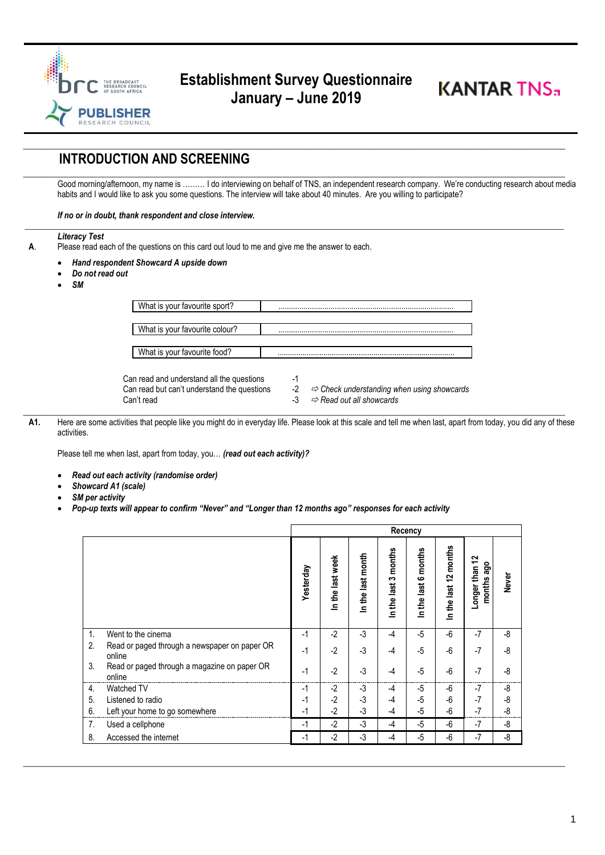

## **Establishment Survey Questionnaire January – June 2019**

 $\_$  ,  $\_$  ,  $\_$  ,  $\_$  ,  $\_$  ,  $\_$  ,  $\_$  ,  $\_$  ,  $\_$  ,  $\_$  ,  $\_$  ,  $\_$  ,  $\_$  ,  $\_$  ,  $\_$  ,  $\_$  ,  $\_$  ,  $\_$  ,  $\_$  ,  $\_$  ,  $\_$  ,  $\_$  ,  $\_$  ,  $\_$  ,  $\_$  ,  $\_$  ,  $\_$  ,  $\_$  ,  $\_$  ,  $\_$  ,  $\_$  ,  $\_$  ,  $\_$  ,  $\_$  ,  $\_$  ,  $\_$  ,  $\_$  ,

 $\_$  ,  $\_$  ,  $\_$  ,  $\_$  ,  $\_$  ,  $\_$  ,  $\_$  ,  $\_$  ,  $\_$  ,  $\_$  ,  $\_$  ,  $\_$  ,  $\_$  ,  $\_$  ,  $\_$  ,  $\_$  ,  $\_$  ,  $\_$  ,  $\_$  ,  $\_$  ,  $\_$  ,  $\_$  ,  $\_$  ,  $\_$  ,  $\_$  ,  $\_$  ,  $\_$  ,  $\_$  ,  $\_$  ,  $\_$  ,  $\_$  ,  $\_$  ,  $\_$  ,  $\_$  ,  $\_$  ,  $\_$  ,  $\_$  ,

\_\_\_\_\_\_\_\_\_\_\_\_\_\_\_\_\_\_\_\_\_\_\_\_\_\_\_\_\_\_\_\_\_\_\_\_\_\_\_\_\_\_\_\_\_\_\_\_\_\_\_\_\_\_\_\_\_\_\_\_\_\_\_\_\_\_\_\_\_\_\_\_\_\_\_\_\_\_\_\_\_\_\_\_\_\_\_\_\_\_\_\_\_\_\_\_\_\_\_\_\_\_\_\_\_\_\_\_\_\_\_\_\_\_\_\_\_\_\_\_\_\_\_\_\_\_\_\_\_\_

**KANTAR TNS.** 

## **INTRODUCTION AND SCREENING**

Good morning/afternoon, my name is ……… I do interviewing on behalf of TNS, an independent research company. We're conducting research about media habits and I would like to ask you some questions. The interview will take about 40 minutes. Are you willing to participate?

*If no or in doubt, thank respondent and close interview.*

#### *Literacy Test*

**A**. Please read each of the questions on this card out loud to me and give me the answer to each.

- *Hand respondent Showcard A upside down*
- *Do not read out*
- *SM*

| What is your favourite sport?                                                                          |                |                                                                                                |
|--------------------------------------------------------------------------------------------------------|----------------|------------------------------------------------------------------------------------------------|
| What is your favourite colour?                                                                         |                |                                                                                                |
| What is your favourite food?                                                                           |                |                                                                                                |
| Can read and understand all the questions<br>Can read but can't understand the questions<br>Can't read | -1<br>-2<br>-3 | $\Rightarrow$ Check understanding when using showcards<br>$\Rightarrow$ Read out all showcards |

**A1.** Here are some activities that people like you might do in everyday life. Please look at this scale and tell me when last, apart from today, you did any of these activities.

 $\_$  ,  $\_$  ,  $\_$  ,  $\_$  ,  $\_$  ,  $\_$  ,  $\_$  ,  $\_$  ,  $\_$  ,  $\_$  ,  $\_$  ,  $\_$  ,  $\_$  ,  $\_$  ,  $\_$  ,  $\_$  ,  $\_$  ,  $\_$  ,  $\_$  ,  $\_$  ,  $\_$  ,  $\_$  ,  $\_$  ,  $\_$  ,  $\_$  ,  $\_$  ,  $\_$  ,  $\_$  ,  $\_$  ,  $\_$  ,  $\_$  ,  $\_$  ,  $\_$  ,  $\_$  ,  $\_$  ,  $\_$  ,  $\_$  ,

Please tell me when last, apart from today, you… *(read out each activity)?*

- *Read out each activity (randomise order)*
- *Showcard A1 (scale)*
- *SM per activity*
- *Pop-up texts will appear to confirm "Never" and "Longer than 12 months ago" responses for each activity*

|                |                                                         |           | Recency          |                   |                            |                            |                             |                                      |       |
|----------------|---------------------------------------------------------|-----------|------------------|-------------------|----------------------------|----------------------------|-----------------------------|--------------------------------------|-------|
|                |                                                         | Yesterday | In the last week | In the last month | months<br>ω<br>In the last | months<br>ဖ<br>In the last | months<br>57<br>In the last | 5<br>ago<br>than<br>months<br>Longer | Never |
| $\mathbf{1}$ . | Went to the cinema                                      | -1        | $-2$             | $-3$              | $-4$                       | $-5$                       | $-6$                        | $-7$                                 | -8    |
| 2.             | Read or paged through a newspaper on paper OR<br>online | $-1$      | $-2$             | $-3$              | $-4$                       | $-5$                       | $-6$                        | $-7$                                 | -8    |
| 3.             | Read or paged through a magazine on paper OR<br>online  | -1        | $-2$             | $-3$              | $-4$                       | $-5$                       | $-6$                        | $-7$                                 | -8    |
| 4.             | Watched TV                                              | -1        | $-2$             | $-3$              | -4                         | $-5$                       | -6                          | -7                                   | -8    |
| 5.             | Listened to radio                                       | $-1$      | $-2$             | -3                | -4                         | $-5$                       | -6                          | $-7$                                 | -8    |
| 6.             | Left your home to go somewhere                          | $-1$      | $-2$             | -3                | -4                         | -5                         | -6                          | $-7$                                 | -8    |
| 7.             | Used a cellphone                                        | -1        | $-2$             | -3                | -4                         | $-5$                       | -6                          | $-7$                                 | -8    |
| 8.             | Accessed the internet                                   | -1        | $-2$             | -3                | -4                         | -5                         | -6                          | $-7$                                 | -8    |

 $\_$  ,  $\_$  ,  $\_$  ,  $\_$  ,  $\_$  ,  $\_$  ,  $\_$  ,  $\_$  ,  $\_$  ,  $\_$  ,  $\_$  ,  $\_$  ,  $\_$  ,  $\_$  ,  $\_$  ,  $\_$  ,  $\_$  ,  $\_$  ,  $\_$  ,  $\_$  ,  $\_$  ,  $\_$  ,  $\_$  ,  $\_$  ,  $\_$  ,  $\_$  ,  $\_$  ,  $\_$  ,  $\_$  ,  $\_$  ,  $\_$  ,  $\_$  ,  $\_$  ,  $\_$  ,  $\_$  ,  $\_$  ,  $\_$  ,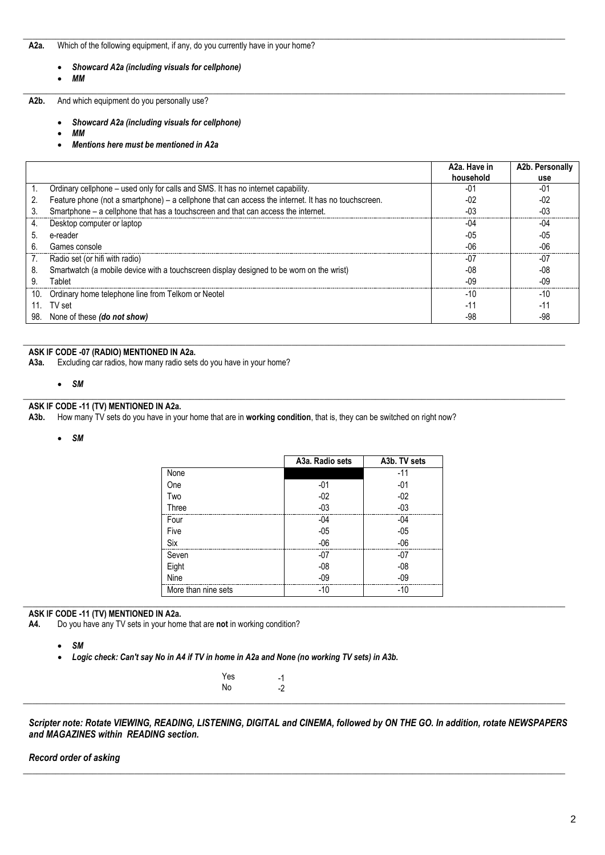#### • *Showcard A2a (including visuals for cellphone)*

• *MM*

 $\_$  ,  $\_$  ,  $\_$  ,  $\_$  ,  $\_$  ,  $\_$  ,  $\_$  ,  $\_$  ,  $\_$  ,  $\_$  ,  $\_$  ,  $\_$  ,  $\_$  ,  $\_$  ,  $\_$  ,  $\_$  ,  $\_$  ,  $\_$  ,  $\_$  ,  $\_$  ,  $\_$  ,  $\_$  ,  $\_$  ,  $\_$  ,  $\_$  ,  $\_$  ,  $\_$  ,  $\_$  ,  $\_$  ,  $\_$  ,  $\_$  ,  $\_$  ,  $\_$  ,  $\_$  ,  $\_$  ,  $\_$  ,  $\_$  , **A2b.** And which equipment do you personally use?

- *Showcard A2a (including visuals for cellphone)*
- *MM*
- *Mentions here must be mentioned in A2a*

|    |                                                                                                     | A2a. Have in | A2b. Personally |
|----|-----------------------------------------------------------------------------------------------------|--------------|-----------------|
|    |                                                                                                     | household    | use             |
|    | Ordinary cellphone – used only for calls and SMS. It has no internet capability.                    | -01          | -01             |
| 2. | Feature phone (not a smartphone) - a cellphone that can access the internet. It has no touchscreen. | -02          | -02             |
| 3. | Smartphone - a cellphone that has a touchscreen and that can access the internet.                   | -03          | -03             |
| 4. | Desktop computer or laptop                                                                          | -04          | -04             |
| 5. | e-reader                                                                                            | -05          | -05             |
| 6. | Games console                                                                                       | -06          | -06             |
| 7. | Radio set (or hifi with radio)                                                                      | -07          | -07             |
| 8. | Smartwatch (a mobile device with a touchscreen display designed to be worn on the wrist)            | -08          | -08             |
| 9. | Tablet                                                                                              | -09          | -09             |
|    | 10. Ordinary home telephone line from Telkom or Neotel                                              | -10          | -10             |
|    | 11. TV set                                                                                          |              |                 |
|    | 98. None of these (do not show)                                                                     | -98          | -98             |

 $\_$  ,  $\_$  ,  $\_$  ,  $\_$  ,  $\_$  ,  $\_$  ,  $\_$  ,  $\_$  ,  $\_$  ,  $\_$  ,  $\_$  ,  $\_$  ,  $\_$  ,  $\_$  ,  $\_$  ,  $\_$  ,  $\_$  ,  $\_$  ,  $\_$  ,  $\_$  ,  $\_$  ,  $\_$  ,  $\_$  ,  $\_$  ,  $\_$  ,  $\_$  ,  $\_$  ,  $\_$  ,  $\_$  ,  $\_$  ,  $\_$  ,  $\_$  ,  $\_$  ,  $\_$  ,  $\_$  ,  $\_$  ,  $\_$  ,

## $\_$  , and the set of the set of the set of the set of the set of the set of the set of the set of the set of the set of the set of the set of the set of the set of the set of the set of the set of the set of the set of th **ASK IF CODE -07 (RADIO) MENTIONED IN A2a.**

Excluding car radios, how many radio sets do you have in your home?

• *SM*

# **ASK IF CODE -11 (TV) MENTIONED IN A2a.**<br>**A3b.** How many TV sets do you have in you

**A3b.** How many TV sets do you have in your home that are in **working condition**, that is, they can be switched on right now?

• *SM*

|                     | A3a. Radio sets | A3b. TV sets |
|---------------------|-----------------|--------------|
| None                |                 | -1           |
| One                 | $-01$           | $-01$        |
| Two                 | $-02$           | $-02$        |
| Three               | $-03$           | $-03$        |
| Four                | -04             | -04          |
| Five                | $-05$           | $-05$        |
| Six                 | $-06$           | $-06$        |
| Seven               | $-07$           | $-07$        |
| Eight               | $-08$           | $-08$        |
| Nine                | -09             | $-09$        |
| More than nine sets | -10             | -10          |

 $\_$  ,  $\_$  ,  $\_$  ,  $\_$  ,  $\_$  ,  $\_$  ,  $\_$  ,  $\_$  ,  $\_$  ,  $\_$  ,  $\_$  ,  $\_$  ,  $\_$  ,  $\_$  ,  $\_$  ,  $\_$  ,  $\_$  ,  $\_$  ,  $\_$  ,  $\_$  ,  $\_$  ,  $\_$  ,  $\_$  ,  $\_$  ,  $\_$  ,  $\_$  ,  $\_$  ,  $\_$  ,  $\_$  ,  $\_$  ,  $\_$  ,  $\_$  ,  $\_$  ,  $\_$  ,  $\_$  ,  $\_$  ,  $\_$  ,

### **ASK IF CODE -11 (TV) MENTIONED IN A2a.**

**A4.** Do you have any TV sets in your home that are **not** in working condition?

- *SM*
- *Logic check: Can't say No in A4 if TV in home in A2a and None (no working TV sets) in A3b.*

Yes -1<br>No -2 N<sub>o</sub>  $\_$  ,  $\_$  ,  $\_$  ,  $\_$  ,  $\_$  ,  $\_$  ,  $\_$  ,  $\_$  ,  $\_$  ,  $\_$  ,  $\_$  ,  $\_$  ,  $\_$  ,  $\_$  ,  $\_$  ,  $\_$  ,  $\_$  ,  $\_$  ,  $\_$  ,  $\_$  ,  $\_$  ,  $\_$  ,  $\_$  ,  $\_$  ,  $\_$  ,  $\_$  ,  $\_$  ,  $\_$  ,  $\_$  ,  $\_$  ,  $\_$  ,  $\_$  ,  $\_$  ,  $\_$  ,  $\_$  ,  $\_$  ,  $\_$  ,

*Scripter note: Rotate VIEWING, READING, LISTENING, DIGITAL and CINEMA, followed by ON THE GO. In addition, rotate NEWSPAPERS and MAGAZINES within READING section.*

 $\_$  , and the set of the set of the set of the set of the set of the set of the set of the set of the set of the set of the set of the set of the set of the set of the set of the set of the set of the set of the set of th

*Record order of asking*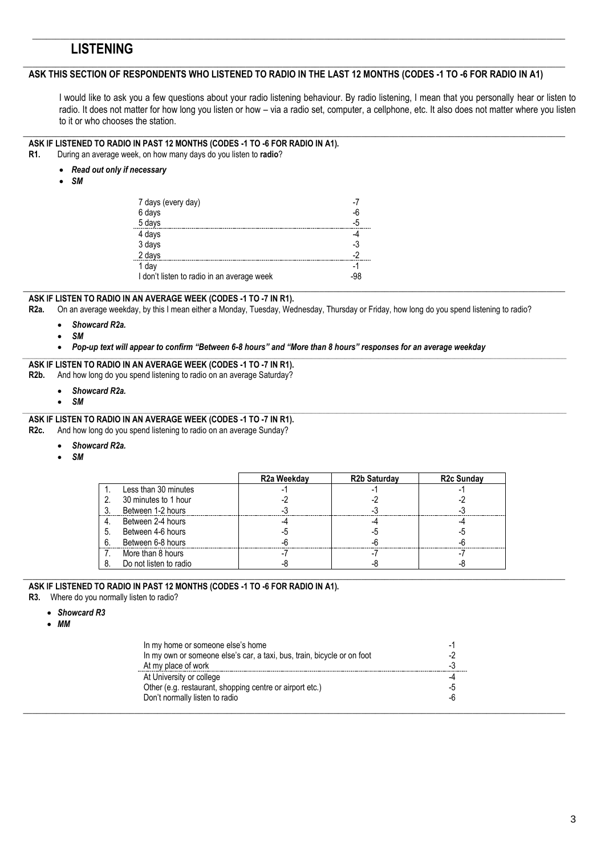## **LISTENING**

#### $\_$  ,  $\_$  ,  $\_$  ,  $\_$  ,  $\_$  ,  $\_$  ,  $\_$  ,  $\_$  ,  $\_$  ,  $\_$  ,  $\_$  ,  $\_$  ,  $\_$  ,  $\_$  ,  $\_$  ,  $\_$  ,  $\_$  ,  $\_$  ,  $\_$  ,  $\_$  ,  $\_$  ,  $\_$  ,  $\_$  ,  $\_$  ,  $\_$  ,  $\_$  ,  $\_$  ,  $\_$  ,  $\_$  ,  $\_$  ,  $\_$  ,  $\_$  ,  $\_$  ,  $\_$  ,  $\_$  ,  $\_$  ,  $\_$  , **ASK THIS SECTION OF RESPONDENTS WHO LISTENED TO RADIO IN THE LAST 12 MONTHS (CODES -1 TO -6 FOR RADIO IN A1)**

 $\_$  ,  $\_$  ,  $\_$  ,  $\_$  ,  $\_$  ,  $\_$  ,  $\_$  ,  $\_$  ,  $\_$  ,  $\_$  ,  $\_$  ,  $\_$  ,  $\_$  ,  $\_$  ,  $\_$  ,  $\_$  ,  $\_$  ,  $\_$  ,  $\_$  ,  $\_$  ,  $\_$  ,  $\_$  ,  $\_$  ,  $\_$  ,  $\_$  ,  $\_$  ,  $\_$  ,  $\_$  ,  $\_$  ,  $\_$  ,  $\_$  ,  $\_$  ,  $\_$  ,  $\_$  ,  $\_$  ,  $\_$  ,  $\_$  ,

\_\_\_\_\_\_\_\_\_\_\_\_\_\_\_\_\_\_\_\_\_\_\_\_\_\_\_\_\_\_\_\_\_\_\_\_\_\_\_\_\_\_\_\_\_\_\_\_\_\_\_\_\_\_\_\_\_\_\_\_\_\_\_\_\_\_\_\_\_\_\_\_\_\_\_\_\_\_\_\_\_\_\_\_\_\_\_\_\_\_\_\_\_\_\_\_\_\_\_\_\_\_\_\_\_\_\_\_\_\_\_\_\_\_\_

I would like to ask you a few questions about your radio listening behaviour. By radio listening, I mean that you personally hear or listen to radio. It does not matter for how long you listen or how – via a radio set, computer, a cellphone, etc. It also does not matter where you listen to it or who chooses the station.

## **ASK IF LISTENED TO RADIO IN PAST 12 MONTHS (CODES -1 TO -6 FOR RADIO IN A1).**

**R1.** During an average week, on how many days do you listen to **radio**?

- *Read out only if necessary*
- *SM*

| 7 days (every day)<br>6 days<br>5 days     | -7<br>-6<br>$-5$ |
|--------------------------------------------|------------------|
| 4 days                                     | -4               |
| 3 days                                     | -3               |
| 2 days                                     | -2               |
| 1 day                                      | -                |
| I don't listen to radio in an average week | -98              |

#### $\_$  ,  $\_$  ,  $\_$  ,  $\_$  ,  $\_$  ,  $\_$  ,  $\_$  ,  $\_$  ,  $\_$  ,  $\_$  ,  $\_$  ,  $\_$  ,  $\_$  ,  $\_$  ,  $\_$  ,  $\_$  ,  $\_$  ,  $\_$  ,  $\_$  ,  $\_$  ,  $\_$  ,  $\_$  ,  $\_$  ,  $\_$  ,  $\_$  ,  $\_$  ,  $\_$  ,  $\_$  ,  $\_$  ,  $\_$  ,  $\_$  ,  $\_$  ,  $\_$  ,  $\_$  ,  $\_$  ,  $\_$  ,  $\_$  , **ASK IF LISTEN TO RADIO IN AN AVERAGE WEEK (CODES -1 TO -7 IN R1).**

**R2a.** On an average weekday, by this I mean either a Monday, Tuesday, Wednesday, Thursday or Friday, how long do you spend listening to radio?

- *Showcard R2a.*
- *SM*
- *Pop-up text will appear to confirm "Between 6-8 hours" and "More than 8 hours" responses for an average weekday*

#### $\_$  , and the set of the set of the set of the set of the set of the set of the set of the set of the set of the set of the set of the set of the set of the set of the set of the set of the set of the set of the set of th **ASK IF LISTEN TO RADIO IN AN AVERAGE WEEK (CODES -1 TO -7 IN R1).**

**R2b.** And how long do you spend listening to radio on an average Saturday?

- *Showcard R2a.*
- *SM*

## ASK IF LISTEN TO RADIO IN AN AVERAGE WEEK (CODES -1 TO -7 IN R1).

**R2c.** And how long do you spend listening to radio on an average Sunday?

- *Showcard R2a.*
- *SM*

|    |                        | R2a Weekdav | R2b Saturdav | <b>R2c Sunday</b> |
|----|------------------------|-------------|--------------|-------------------|
|    | Less than 30 minutes   |             |              |                   |
|    | 30 minutes to 1 hour   |             |              |                   |
|    | Between 1-2 hours      |             |              |                   |
| 4. | Between 2-4 hours      |             |              |                   |
| 5. | Between 4-6 hours      |             |              |                   |
| 6. | Between 6-8 hours      |             |              |                   |
|    | More than 8 hours      |             |              |                   |
|    | Do not listen to radio |             |              |                   |

#### $\_$  , and the set of the set of the set of the set of the set of the set of the set of the set of the set of the set of the set of the set of the set of the set of the set of the set of the set of the set of the set of th **ASK IF LISTENED TO RADIO IN PAST 12 MONTHS (CODES -1 TO -6 FOR RADIO IN A1).**

**R3.** Where do you normally listen to radio?

#### • *Showcard R3*

• *MM*

| In my home or someone else's home                                       |  |
|-------------------------------------------------------------------------|--|
| In my own or someone else's car, a taxi, bus, train, bicycle or on foot |  |
| At my place of work                                                     |  |
| At University or college                                                |  |
| Other (e.g. restaurant, shopping centre or airport etc.)                |  |
| Don't normally listen to radio                                          |  |
|                                                                         |  |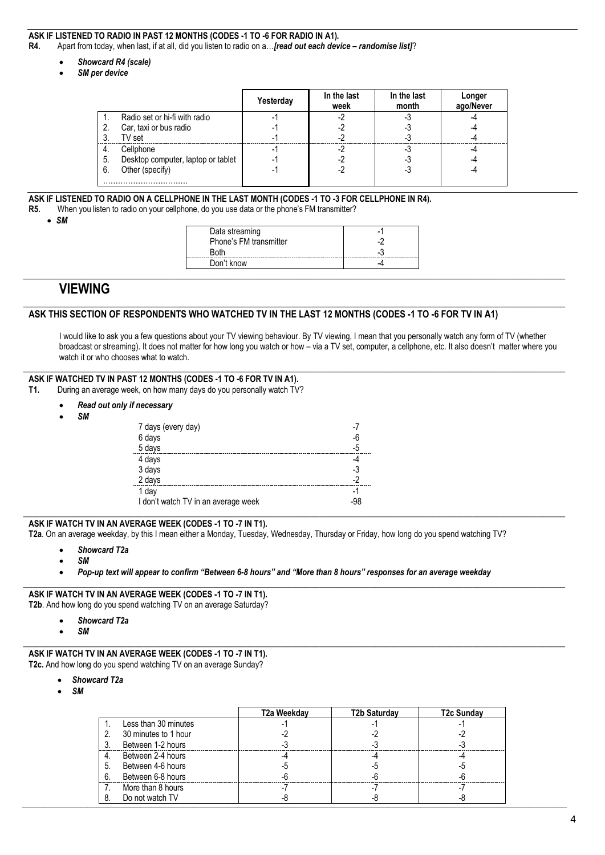### **ASK IF LISTENED TO RADIO IN PAST 12 MONTHS (CODES -1 TO -6 FOR RADIO IN A1).**

**R4.** Apart from today, when last, if at all, did you listen to radio on a…*[read out each device – randomise list]*?

- *Showcard R4 (scale)*
- *SM per device*

|     |                                    | Yesterday | In the last<br>week | In the last<br>month | Longer<br>ago/Never |
|-----|------------------------------------|-----------|---------------------|----------------------|---------------------|
|     | Radio set or hi-fi with radio      |           |                     |                      |                     |
|     | Car, taxi or bus radio             |           |                     |                      |                     |
|     | TV set                             |           |                     |                      |                     |
| -4. | Cellphone                          |           |                     |                      |                     |
| -5. | Desktop computer, laptop or tablet |           |                     | -0                   |                     |
| 6.  | Other (specify)                    |           |                     | -0                   |                     |
|     |                                    |           |                     |                      |                     |

# **ASK IF LISTENED TO RADIO ON A CELLPHONE IN THE LAST MONTH (CODES -1 TO -3 FOR CELLPHONE IN R4).**<br>R5. When you listen to radio on your cellphone, do you use data or the phone's FM transmitter?

- **R5.** When you listen to radio on your cellphone, do you use data or the phone's FM transmitter?
	- *SM*

| Data streaming<br>Phone's FM transmitter |  |
|------------------------------------------|--|
| Both                                     |  |
| ⊃on′t know                               |  |

## **VIEWING**

#### $\_$  ,  $\_$  ,  $\_$  ,  $\_$  ,  $\_$  ,  $\_$  ,  $\_$  ,  $\_$  ,  $\_$  ,  $\_$  ,  $\_$  ,  $\_$  ,  $\_$  ,  $\_$  ,  $\_$  ,  $\_$  ,  $\_$  ,  $\_$  ,  $\_$  ,  $\_$  ,  $\_$  ,  $\_$  ,  $\_$  ,  $\_$  ,  $\_$  ,  $\_$  ,  $\_$  ,  $\_$  ,  $\_$  ,  $\_$  ,  $\_$  ,  $\_$  ,  $\_$  ,  $\_$  ,  $\_$  ,  $\_$  ,  $\_$  , **ASK THIS SECTION OF RESPONDENTS WHO WATCHED TV IN THE LAST 12 MONTHS (CODES -1 TO -6 FOR TV IN A1)**

I would like to ask you a few questions about your TV viewing behaviour. By TV viewing, I mean that you personally watch any form of TV (whether broadcast or streaming). It does not matter for how long you watch or how – via a TV set, computer, a cellphone, etc. It also doesn't matter where you watch it or who chooses what to watch.

#### $\_$  , and the set of the set of the set of the set of the set of the set of the set of the set of the set of the set of the set of the set of the set of the set of the set of the set of the set of the set of the set of th **ASK IF WATCHED TV IN PAST 12 MONTHS (CODES -1 TO -6 FOR TV IN A1).**

**T1.** During an average week, on how many days do you personally watch TV?

- *Read out only if necessary*
	- *SM*

| 7 days (every day)                  |     |
|-------------------------------------|-----|
| 6 days                              | -6  |
| 5 days                              | -5  |
| 4 days                              |     |
| 3 days                              | -3  |
| 2 days                              | -2  |
| 1 day                               | -   |
| I don't watch TV in an average week | -98 |

#### **ASK IF WATCH TV IN AN AVERAGE WEEK (CODES -1 TO -7 IN T1).**

**T2a**. On an average weekday, by this I mean either a Monday, Tuesday, Wednesday, Thursday or Friday, how long do you spend watching TV?

 $\_$  ,  $\_$  ,  $\_$  ,  $\_$  ,  $\_$  ,  $\_$  ,  $\_$  ,  $\_$  ,  $\_$  ,  $\_$  ,  $\_$  ,  $\_$  ,  $\_$  ,  $\_$  ,  $\_$  ,  $\_$  ,  $\_$  ,  $\_$  ,  $\_$  ,  $\_$  ,  $\_$  ,  $\_$  ,  $\_$  ,  $\_$  ,  $\_$  ,  $\_$  ,  $\_$  ,  $\_$  ,  $\_$  ,  $\_$  ,  $\_$  ,  $\_$  ,  $\_$  ,  $\_$  ,  $\_$  ,  $\_$  ,  $\_$  ,

- *Showcard T2a*
- *SM*
- *Pop-up text will appear to confirm "Between 6-8 hours" and "More than 8 hours" responses for an average weekday*

## $\_$  ,  $\_$  ,  $\_$  ,  $\_$  ,  $\_$  ,  $\_$  ,  $\_$  ,  $\_$  ,  $\_$  ,  $\_$  ,  $\_$  ,  $\_$  ,  $\_$  ,  $\_$  ,  $\_$  ,  $\_$  ,  $\_$  ,  $\_$  ,  $\_$  ,  $\_$  ,  $\_$  ,  $\_$  ,  $\_$  ,  $\_$  ,  $\_$  ,  $\_$  ,  $\_$  ,  $\_$  ,  $\_$  ,  $\_$  ,  $\_$  ,  $\_$  ,  $\_$  ,  $\_$  ,  $\_$  ,  $\_$  ,  $\_$  , **ASK IF WATCH TV IN AN AVERAGE WEEK (CODES -1 TO -7 IN T1).**

**T2b**. And how long do you spend watching TV on an average Saturday?

- *Showcard T2a*
- *SM*

### $\_$  ,  $\_$  ,  $\_$  ,  $\_$  ,  $\_$  ,  $\_$  ,  $\_$  ,  $\_$  ,  $\_$  ,  $\_$  ,  $\_$  ,  $\_$  ,  $\_$  ,  $\_$  ,  $\_$  ,  $\_$  ,  $\_$  ,  $\_$  ,  $\_$  ,  $\_$  ,  $\_$  ,  $\_$  ,  $\_$  ,  $\_$  ,  $\_$  ,  $\_$  ,  $\_$  ,  $\_$  ,  $\_$  ,  $\_$  ,  $\_$  ,  $\_$  ,  $\_$  ,  $\_$  ,  $\_$  ,  $\_$  ,  $\_$  , **ASK IF WATCH TV IN AN AVERAGE WEEK (CODES -1 TO -7 IN T1).**

**T2c.** And how long do you spend watching TV on an average Sunday?

- *Showcard T2a*
- *SM*

|    |                         | T2a Weekday | T2b Saturdav | T2c Sundav |
|----|-------------------------|-------------|--------------|------------|
|    | Less than 30 minutes    |             |              |            |
|    | 2. 30 minutes to 1 hour |             |              |            |
|    | Between 1-2 hours       |             |              |            |
| 4. | Between 2-4 hours       |             |              |            |
| 5. | Between 4-6 hours       |             |              |            |
| 6. | Between 6-8 hours       |             |              |            |
|    | More than 8 hours       |             |              |            |
|    | Do not watch TV         |             |              |            |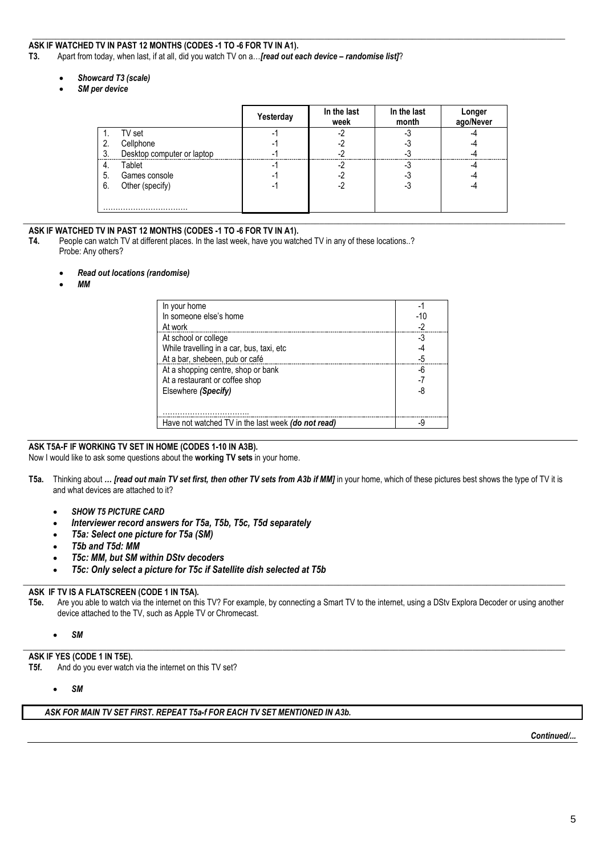#### \_\_\_\_\_\_\_\_\_\_\_\_\_\_\_\_\_\_\_\_\_\_\_\_\_\_\_\_\_\_\_\_\_\_\_\_\_\_\_\_\_\_\_\_\_\_\_\_\_\_\_\_\_\_\_\_\_\_\_\_\_\_\_\_\_\_\_\_\_\_\_\_\_\_\_\_\_\_\_\_\_\_\_\_\_\_\_\_\_\_\_\_\_\_\_\_\_\_\_\_\_\_\_\_\_\_\_\_\_\_\_\_\_\_\_ **ASK IF WATCHED TV IN PAST 12 MONTHS (CODES -1 TO -6 FOR TV IN A1).**

- **T3.** Apart from today, when last, if at all, did you watch TV on a…*[read out each device – randomise list]*?
	- *Showcard T3 (scale)*
	- *SM per device*

|                                  | Yesterday | In the last<br>week | In the last<br>month | Longer<br>ago/Never |
|----------------------------------|-----------|---------------------|----------------------|---------------------|
| TV set                           | -         | c                   | - 3                  |                     |
| Cellphone<br>2.                  | ۰         |                     |                      |                     |
| Desktop computer or laptop<br>3. |           |                     |                      |                     |
| Tablet<br>4.                     |           |                     | -3                   | -----               |
| Games console<br>5.              |           |                     |                      |                     |
| Other (specify)<br>6.            | -         | ∩                   | ר.-                  |                     |
|                                  |           |                     |                      |                     |
|                                  |           |                     |                      |                     |

### **ASK IF WATCHED TV IN PAST 12 MONTHS (CODES -1 TO -6 FOR TV IN A1).**

**T4.** People can watch TV at different places. In the last week, have you watched TV in any of these locations..? Probe: Any others?

- *Read out locations (randomise)*
- *MM*

| In your home                                       |     |
|----------------------------------------------------|-----|
| In someone else's home                             | -10 |
| At work                                            | -2  |
| At school or college                               | -3  |
| While travelling in a car, bus, taxi, etc          |     |
| At a bar, shebeen, pub or café                     | -5  |
| At a shopping centre, shop or bank                 | -6  |
| At a restaurant or coffee shop                     |     |
| Elsewhere (Specify)                                | -8  |
|                                                    |     |
|                                                    |     |
| Have not watched TV in the last week (do not read) | -q  |

## **ASK T5A-F IF WORKING TV SET IN HOME (CODES 1-10 IN A3B).**

Now I would like to ask some questions about the **working TV sets** in your home.

- **T5a.** Thinking about *… [read out main TV set first, then other TV sets from A3b if MM]* in your home, which of these pictures best shows the type of TV it is and what devices are attached to it?
	- *SHOW T5 PICTURE CARD*
	- *Interviewer record answers for T5a, T5b, T5c, T5d separately*
	- *T5a: Select one picture for T5a (SM)*
	- *T5b and T5d: MM*
	- *T5c: MM, but SM within DStv decoders*
	- *T5c: Only select a picture for T5c if Satellite dish selected at T5b*

#### $\_$  ,  $\_$  ,  $\_$  ,  $\_$  ,  $\_$  ,  $\_$  ,  $\_$  ,  $\_$  ,  $\_$  ,  $\_$  ,  $\_$  ,  $\_$  ,  $\_$  ,  $\_$  ,  $\_$  ,  $\_$  ,  $\_$  ,  $\_$  ,  $\_$  ,  $\_$  ,  $\_$  ,  $\_$  ,  $\_$  ,  $\_$  ,  $\_$  ,  $\_$  ,  $\_$  ,  $\_$  ,  $\_$  ,  $\_$  ,  $\_$  ,  $\_$  ,  $\_$  ,  $\_$  ,  $\_$  ,  $\_$  ,  $\_$  , **ASK IF TV IS A FLATSCREEN (CODE 1 IN T5A)***.*

**T5e.** Are you able to watch via the internet on this TV? For example, by connecting a Smart TV to the internet, using a DStv Explora Decoder or using another device attached to the TV, such as Apple TV or Chromecast.

 $\_$  ,  $\_$  ,  $\_$  ,  $\_$  ,  $\_$  ,  $\_$  ,  $\_$  ,  $\_$  ,  $\_$  ,  $\_$  ,  $\_$  ,  $\_$  ,  $\_$  ,  $\_$  ,  $\_$  ,  $\_$  ,  $\_$  ,  $\_$  ,  $\_$  ,  $\_$  ,  $\_$  ,  $\_$  ,  $\_$  ,  $\_$  ,  $\_$  ,  $\_$  ,  $\_$  ,  $\_$  ,  $\_$  ,  $\_$  ,  $\_$  ,  $\_$  ,  $\_$  ,  $\_$  ,  $\_$  ,  $\_$  ,  $\_$  ,

• *SM*

### **ASK IF YES (CODE 1 IN T5E).**

**T5f.** And do you ever watch via the internet on this TV set?

• *SM*

#### *ASK FOR MAIN TV SET FIRST. REPEAT T5a-f FOR EACH TV SET MENTIONED IN A3b.*

*Continued/...*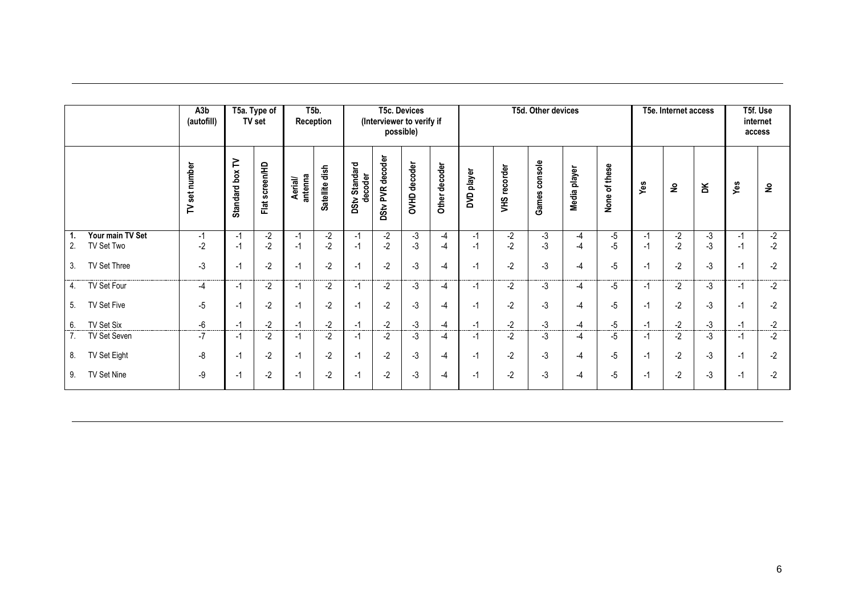|              |                                | A3b<br>(autofill) |                   | T5a. Type of<br>TV set | T5b.<br>Reception |                |                                    | (Interviewer to verify if | <b>T5c. Devices</b><br>possible) |               |              |              | T5d. Other devices |              |               |              | T5e. Internet access |              | access     | T5f. Use<br>internet |
|--------------|--------------------------------|-------------------|-------------------|------------------------|-------------------|----------------|------------------------------------|---------------------------|----------------------------------|---------------|--------------|--------------|--------------------|--------------|---------------|--------------|----------------------|--------------|------------|----------------------|
|              |                                | TV set number     | ≧<br>Standard box | screen/HD<br>Flat      | antenna<br>Aerial | Satellite dish | Standard<br>decoder<br><b>DStv</b> | DStv PVR decoder          | <b>OVHD</b> decoder              | Other decoder | DVD player   | VHS recorder | console<br>Games   | Media player | None of these | Yes          | $\epsilon$           | ΣK           | yes        | $\mathsf{S}$         |
| 1.<br>2.     | Your main TV Set<br>TV Set Two | $-1$<br>$-2$      | $-1$<br>$-1$      | $-2$<br>$-2$           | $-1$<br>$-1$      | $-2$<br>$-2$   | $-1$<br>$-1$                       | $-2$<br>$-2$              | $-3$<br>$-3$                     | $-4$<br>$-4$  | $-1$<br>$-1$ | $-2$<br>$-2$ | $-3$<br>-3         | -4<br>-4     | $-5$<br>$-5$  | $-1$<br>$-1$ | $-2$<br>$-2$         | $-3$<br>$-3$ | -1<br>$-1$ | $-2$<br>$-2$         |
| 3.           | TV Set Three                   | -3                | $-1$              | $-2$                   | $-1$              | $-2$           | $-1$                               | $-2$                      | $-3$                             | $-4$          | $-1$         | $-2$         | -3                 | -4           | $-5$          | $-1$         | $-2$                 | -3           | $-1$       | $-2$                 |
| 4.           | TV Set Four                    | -4                | $-1$              | $-2$                   | $-1$              | $-2$           | $-1$                               | $-2$                      | -3                               | -4            | $-1$         | $-2$         | $-3$               | -4           | $-5$          | $-1$         | $-2$                 | -3           | -1         | $-2$                 |
| 5.           | TV Set Five                    | $-5$              | $-1$              | $-2$                   | $-1$              | $-2$           | $-1$                               | $-2$                      | -3                               | $-4$          | $-1$         | $-2$         | -3                 | -4           | $-5$          | $-1$         | $-2$                 | -3           | $-1$       | $-2$                 |
| 6.           | TV Set Six                     | $-6$              | $-1$              | $-2$                   | $-1$              | $-2$           | $-1$                               | $-2$                      | $-3$                             | $-4$          | $-1$         | $-2$         | $-3$               | -4           | $-5$          | $-1$         | $-2$                 | $-3$         | $-1$       | $-2$                 |
| ------<br>7. | <br>TV Set Seven               | -7                | -1                | -2                     | -1                | -2             | -1                                 | $-2$                      | -3                               | -4            | <br>-1       | $-2$         | -3                 | -4           | .<br>-5       | -1           | $-2$                 | -3           | -1         | $-2$                 |
| 8.           | TV Set Eight                   | -8                | $-1$              | $-2$                   | $-1$              | $-2$           | $-1$                               | $-2$                      | -3                               | $-4$          | $-1$         | $-2$         | -3                 | -4           | $-5$          | $-1$         | $-2$                 | -3           | $-1$       | $-2$                 |
| 9.           | TV Set Nine                    | -9                | $-1$              | $-2$                   | $-1$              | $-2$           | $-1$                               | $-2$                      | -3                               | $-4$          | $-1$         | $-2$         | -3                 | -4           | $-5$          | -1           | $-2$                 | $-3$         | $-1$       | $-2$                 |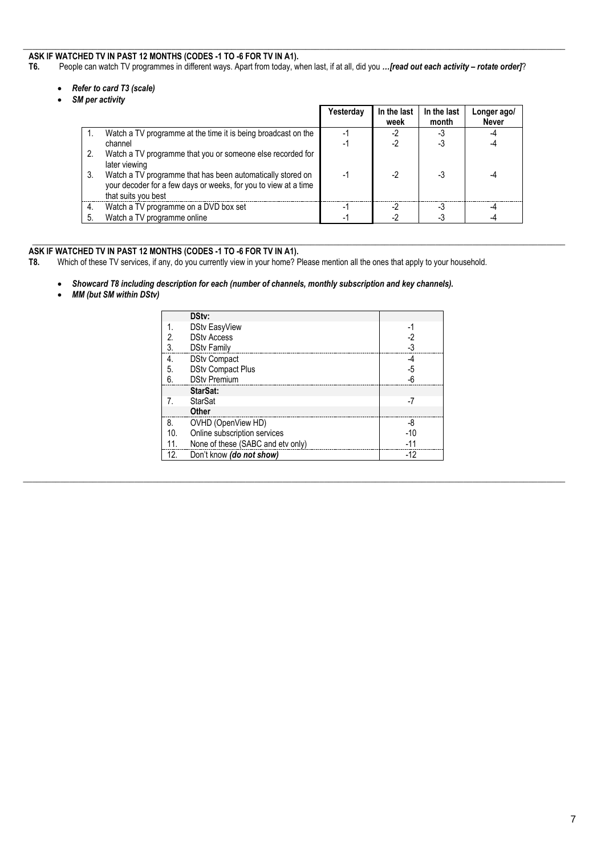## $\_$  , and the set of the set of the set of the set of the set of the set of the set of the set of the set of the set of the set of the set of the set of the set of the set of the set of the set of the set of the set of th **ASK IF WATCHED TV IN PAST 12 MONTHS (CODES -1 TO -6 FOR TV IN A1).**<br>**T6.** People can watch TV programmes in different ways. Apart from today, w

- **T6.** People can watch TV programmes in different ways. Apart from today, when last, if at all, did you *…[read out each activity – rotate order]*?
	- *Refer to card T3 (scale)*
	- *SM per activity*

|    |                                                                                                                                                      | Yesterday | In the last<br>week | In the last<br>month | Longer ago/<br><b>Never</b> |
|----|------------------------------------------------------------------------------------------------------------------------------------------------------|-----------|---------------------|----------------------|-----------------------------|
|    | Watch a TV programme at the time it is being broadcast on the                                                                                        | ÷         |                     | -3                   |                             |
|    | channel                                                                                                                                              | -1        |                     | -3                   |                             |
| 2. | Watch a TV programme that you or someone else recorded for<br>later viewing                                                                          |           |                     |                      |                             |
| 3. | Watch a TV programme that has been automatically stored on<br>your decoder for a few days or weeks, for you to view at a time<br>that suits you best | -1        |                     | -3                   |                             |
| 4. | Watch a TV programme on a DVD box set                                                                                                                | -1        | $-2^{\circ}$        | -3                   |                             |
| 5. | Watch a TV programme online                                                                                                                          | ÷         |                     | -3                   |                             |

\_\_\_\_\_\_\_\_\_\_\_\_\_\_\_\_\_\_\_\_\_\_\_\_\_\_\_\_\_\_\_\_\_\_\_\_\_\_\_\_\_\_\_\_\_\_\_\_\_\_\_\_\_\_\_\_\_\_\_\_\_\_\_\_\_\_\_\_\_\_\_\_\_\_\_\_\_\_\_\_\_\_\_\_\_\_\_\_\_\_\_\_\_\_\_\_\_\_\_\_\_\_\_\_\_\_\_\_\_\_\_\_\_\_\_

#### **ASK IF WATCHED TV IN PAST 12 MONTHS (CODES -1 TO -6 FOR TV IN A1).**

- **T8.** Which of these TV services, if any, do you currently view in your home? Please mention all the ones that apply to your household.
	- *Showcard T8 including description for each (number of channels, monthly subscription and key channels).*
		- *MM (but SM within DStv)*

|     | DStv:                             |       |
|-----|-----------------------------------|-------|
|     | DStv EasyView                     | -1    |
| 2.  | <b>DStv Access</b>                | $-2$  |
| 3.  | <b>DStv Family</b>                | $-3$  |
| 4.  | <b>DStv Compact</b>               | -4    |
| 5.  | DStv Compact Plus                 | $-5$  |
| 6.  | <b>DSty Premium</b>               | $-6$  |
|     | StarSat:                          |       |
| 7.  | <b>StarSat</b>                    | -7    |
|     | <b>Other</b>                      |       |
| 8.  | OVHD (OpenView HD)                | -8    |
| 10. | Online subscription services      | $-10$ |
| 11. | None of these (SABC and etv only) | $-11$ |
| 12. | Don't know (do not show)          | $-12$ |

 $\_$  ,  $\_$  ,  $\_$  ,  $\_$  ,  $\_$  ,  $\_$  ,  $\_$  ,  $\_$  ,  $\_$  ,  $\_$  ,  $\_$  ,  $\_$  ,  $\_$  ,  $\_$  ,  $\_$  ,  $\_$  ,  $\_$  ,  $\_$  ,  $\_$  ,  $\_$  ,  $\_$  ,  $\_$  ,  $\_$  ,  $\_$  ,  $\_$  ,  $\_$  ,  $\_$  ,  $\_$  ,  $\_$  ,  $\_$  ,  $\_$  ,  $\_$  ,  $\_$  ,  $\_$  ,  $\_$  ,  $\_$  ,  $\_$  ,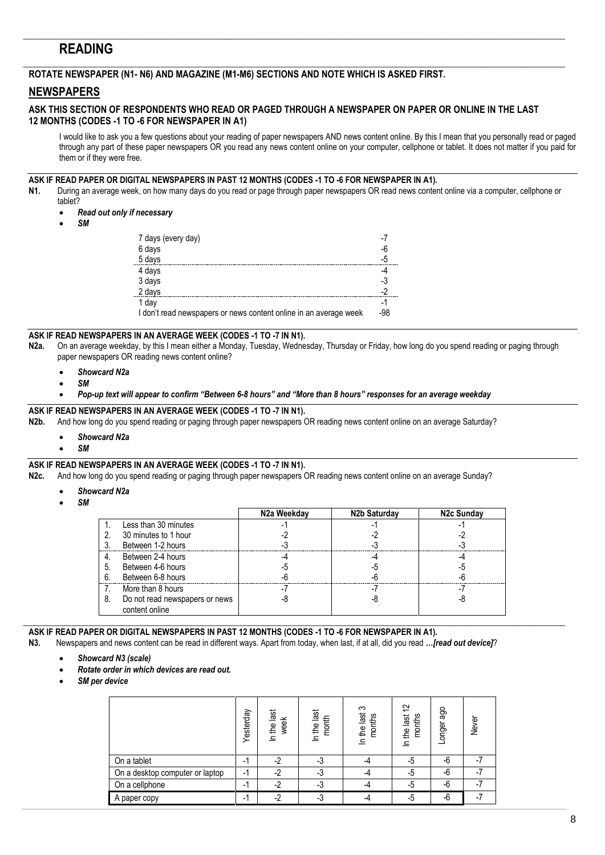## **READING**

## **ROTATE NEWSPAPER (N1- N6) AND MAGAZINE (M1-M6) SECTIONS AND NOTE WHICH IS ASKED FIRST.**

## **NEWSPAPERS**

#### **ASK THIS SECTION OF RESPONDENTS WHO READ OR PAGED THROUGH A NEWSPAPER ON PAPER OR ONLINE IN THE LAST 12 MONTHS (CODES -1 TO -6 FOR NEWSPAPER IN A1)**

 $\_$  ,  $\_$  ,  $\_$  ,  $\_$  ,  $\_$  ,  $\_$  ,  $\_$  ,  $\_$  ,  $\_$  ,  $\_$  ,  $\_$  ,  $\_$  ,  $\_$  ,  $\_$  ,  $\_$  ,  $\_$  ,  $\_$  ,  $\_$  ,  $\_$  ,  $\_$  ,  $\_$  ,  $\_$  ,  $\_$  ,  $\_$  ,  $\_$  ,  $\_$  ,  $\_$  ,  $\_$  ,  $\_$  ,  $\_$  ,  $\_$  ,  $\_$  ,  $\_$  ,  $\_$  ,  $\_$  ,  $\_$  ,  $\_$  ,

 $\_$  ,  $\_$  ,  $\_$  ,  $\_$  ,  $\_$  ,  $\_$  ,  $\_$  ,  $\_$  ,  $\_$  ,  $\_$  ,  $\_$  ,  $\_$  ,  $\_$  ,  $\_$  ,  $\_$  ,  $\_$  ,  $\_$  ,  $\_$  ,  $\_$  ,  $\_$  ,  $\_$  ,  $\_$  ,  $\_$  ,  $\_$  ,  $\_$  ,  $\_$  ,  $\_$  ,  $\_$  ,  $\_$  ,  $\_$  ,  $\_$  ,  $\_$  ,  $\_$  ,  $\_$  ,  $\_$  ,  $\_$  ,  $\_$  ,

I would like to ask you a few questions about your reading of paper newspapers AND news content online. By this I mean that you personally read or paged through any part of these paper newspapers OR you read any news content online on your computer, cellphone or tablet. It does not matter if you paid for them or if they were free.

#### **ASK IF READ PAPER OR DIGITAL NEWSPAPERS IN PAST 12 MONTHS (CODES -1 TO -6 FOR NEWSPAPER IN A1).**

**N1.** During an average week, on how many days do you read or page through paper newspapers OR read news content online via a computer, cellphone or tablet?

- *Read out only if necessary*
- *SM*

| 7 days (every day)<br>6 days<br>5 days<br>4 days<br>3 days        | -6<br>-5<br>-3<br>-2     |
|-------------------------------------------------------------------|--------------------------|
| 2 days<br>1 day                                                   | $\overline{\phantom{a}}$ |
| I don't read newspapers or news content online in an average week | -98                      |

#### **ASK IF READ NEWSPAPERS IN AN AVERAGE WEEK (CODES -1 TO -7 IN N1).**

- **N2a.** On an average weekday, by this I mean either a Monday, Tuesday, Wednesday, Thursday or Friday, how long do you spend reading or paging through paper newspapers OR reading news content online?
	- *Showcard N2a*
	- *SM*
	- *Pop-up text will appear to confirm "Between 6-8 hours" and "More than 8 hours" responses for an average weekday*

#### **ASK IF READ NEWSPAPERS IN AN AVERAGE WEEK (CODES -1 TO -7 IN N1).**

**N2b.** And how long do you spend reading or paging through paper newspapers OR reading news content online on an average Saturday?

- *Showcard N2a*
- *SM*

### **ASK IF READ NEWSPAPERS IN AN AVERAGE WEEK (CODES -1 TO -7 IN N1).**

**N2c.** And how long do you spend reading or paging through paper newspapers OR reading news content online on an average Sunday?

- *Showcard N2a*
- *SM*

|    |                                   | N2a Weekday | <b>N2b Saturdav</b> | N <sub>2</sub> c Sundav |
|----|-----------------------------------|-------------|---------------------|-------------------------|
|    | Less than 30 minutes              |             |                     |                         |
|    | 30 minutes to 1 hour              |             |                     |                         |
|    | Between 1-2 hours                 |             |                     |                         |
| 4. | Between 2-4 hours                 |             |                     |                         |
| 5. | Between 4-6 hours                 |             |                     |                         |
| ხ. | Between 6-8 hours                 |             |                     |                         |
|    | 7. More than 8 hours              |             |                     |                         |
|    | 8. Do not read newspapers or news |             |                     |                         |
|    | content online                    |             |                     |                         |

**ASK IF READ PAPER OR DIGITAL NEWSPAPERS IN PAST 12 MONTHS (CODES -1 TO -6 FOR NEWSPAPER IN A1).**

**N3.** Newspapers and news content can be read in different ways. Apart from today, when last, if at all, did you read *…[read out device]*?

- *Showcard N3 (scale)*
- *Rotate order in which devices are read out.*
- *SM per device*

|                                 | Yesterday | iast<br>week<br>In the | In the last<br>month | ო<br>In the last<br>months | $\tilde{c}$<br>the last<br>months<br>르 | Longer ago | Never |
|---------------------------------|-----------|------------------------|----------------------|----------------------------|----------------------------------------|------------|-------|
| On a tablet                     | ۰         | $-2$                   | -3                   | -4                         | -5                                     | -6         |       |
| On a desktop computer or laptop | и<br>-    | $-2$                   | -3                   | -4                         | -5                                     | -6         |       |
| On a cellphone                  | ۰         | $-2$                   | -3                   | -4                         | -5                                     | -6         |       |
| A paper copy                    | - 1       | $-2$                   | -3                   | -4                         | -5                                     | -6         |       |

\_\_\_\_\_\_\_\_\_\_\_\_\_\_\_\_\_\_\_\_\_\_\_\_\_\_\_\_\_\_\_\_\_\_\_\_\_\_\_\_\_\_\_\_\_\_\_\_\_\_\_\_\_\_\_\_\_\_\_\_\_\_\_\_\_\_\_\_\_\_\_\_\_\_\_\_\_\_\_\_\_\_\_\_\_\_\_\_\_\_\_\_\_\_\_\_\_\_\_\_\_\_\_\_\_\_\_\_\_\_\_\_\_\_\_\_\_\_\_\_\_\_\_\_\_\_\_\_\_\_\_\_\_\_\_\_\_\_\_\_\_\_\_\_\_\_\_\_\_\_\_\_\_\_\_\_\_\_\_\_\_\_\_\_\_\_\_\_\_\_\_\_\_\_\_\_\_\_\_\_\_\_\_\_\_\_\_\_\_\_\_\_\_\_\_\_\_\_\_\_\_\_\_\_\_\_\_\_\_\_\_\_\_\_\_\_\_\_\_\_\_\_\_\_\_\_\_\_\_\_\_\_\_\_\_\_\_\_\_\_\_\_\_\_\_\_\_\_\_\_\_\_\_\_\_\_\_\_\_\_\_\_\_\_\_\_\_\_\_\_\_\_\_\_\_\_\_\_\_\_\_\_\_\_\_\_\_\_\_\_\_\_\_\_\_\_\_\_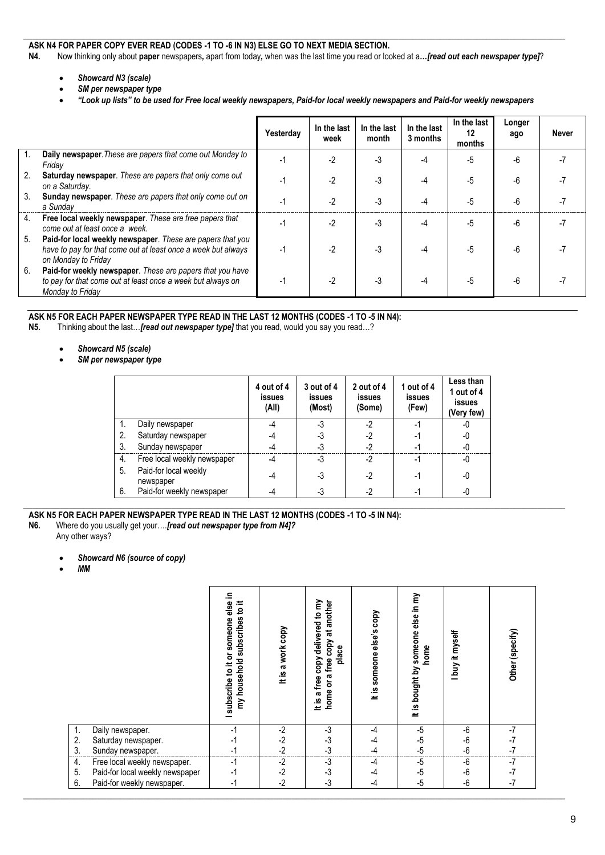# **ASK N4 FOR PAPER COPY EVER READ (CODES -1 TO -6 IN N3) ELSE GO TO NEXT MEDIA SECTION.**

**N4***.* Now thinking only about **paper** newspapers*,* apart from today*,* when was the last time you read or looked at a*…[read out each newspaper type]*?

 $\_$  ,  $\_$  ,  $\_$  ,  $\_$  ,  $\_$  ,  $\_$  ,  $\_$  ,  $\_$  ,  $\_$  ,  $\_$  ,  $\_$  ,  $\_$  ,  $\_$  ,  $\_$  ,  $\_$  ,  $\_$  ,  $\_$  ,  $\_$  ,  $\_$  ,  $\_$  ,  $\_$  ,  $\_$  ,  $\_$  ,  $\_$  ,  $\_$  ,  $\_$  ,  $\_$  ,  $\_$  ,  $\_$  ,  $\_$  ,  $\_$  ,  $\_$  ,  $\_$  ,  $\_$  ,  $\_$  ,  $\_$  ,  $\_$  ,

- *Showcard N3 (scale)*
- *SM per newspaper type*
- *"Look up lists" to be used for Free local weekly newspapers, Paid-for local weekly newspapers and Paid-for weekly newspapers*

|    |                                                                                                                                                    | Yesterdav | In the last<br>week | In the last<br>month | In the last<br>3 months | In the last<br>12<br>months | Longer<br>ago | Never |
|----|----------------------------------------------------------------------------------------------------------------------------------------------------|-----------|---------------------|----------------------|-------------------------|-----------------------------|---------------|-------|
|    | Daily newspaper. These are papers that come out Monday to<br>Fridav                                                                                | $-1$      | -2                  | -3                   | -4                      | $-5$                        | -6            |       |
| 2. | Saturday newspaper. These are papers that only come out<br>on a Saturday.                                                                          | -1        | -2                  | -3                   |                         | -5                          | -6            |       |
| 3. | <b>Sunday newspaper.</b> These are papers that only come out on<br>a Sundav                                                                        | ÷.        |                     | -3                   |                         | -5                          | -6            |       |
| 4. | Free local weekly newspaper. These are free papers that<br>come out at least once a week.                                                          | -1        | -2                  | -3                   |                         | -5                          | -6            |       |
| 5. | Paid-for local weekly newspaper. These are papers that you<br>have to pay for that come out at least once a week but always<br>on Monday to Friday | -1        | -2                  | -3                   |                         | -5                          | -6            |       |
| 6. | Paid-for weekly newspaper. These are papers that you have<br>to pay for that come out at least once a week but always on<br>Monday to Friday       | -1        | -2                  | -3                   |                         | -5                          | -6            |       |

# **ASK N5 FOR EACH PAPER NEWSPAPER TYPE READ IN THE LAST 12 MONTHS (CODES -1 TO -5 IN N4):**<br>N5. Thinking about the last...*[read out newspaper type]* that you read, would you say you read...?

**N5.** Thinking about the last…*[read out newspaper type]* that you read, would you say you read…?

- *Showcard N5 (scale)*
- *SM per newspaper type*

|    |                                    | 4 out of 4<br><b>issues</b><br>(All) | 3 out of 4<br>issues<br>(Most) | 2 out of 4<br>issues<br>(Some) | 1 out of 4<br>issues<br>(Few) | Less than<br>1 out of 4<br>issues<br>(Verv few) |
|----|------------------------------------|--------------------------------------|--------------------------------|--------------------------------|-------------------------------|-------------------------------------------------|
|    | Daily newspaper                    | -4                                   | -3                             | $-2$                           | -                             | -0                                              |
| 2. | Saturday newspaper                 |                                      | -3                             | $-2$                           | -                             | -0                                              |
| 3. | Sunday newspaper                   |                                      | -3                             | -2                             |                               | $-0$                                            |
| 4. | Free local weekly newspaper        | -4                                   | -3                             | $-2$                           | $-1$                          | -0                                              |
| 5. | Paid-for local weekly<br>newspaper | -4                                   | -3                             | -2                             | -                             | -0                                              |
| 6. | Paid-for weekly newspaper          |                                      | -3                             | $-2$                           |                               | -0                                              |

## $\_$  ,  $\_$  ,  $\_$  ,  $\_$  ,  $\_$  ,  $\_$  ,  $\_$  ,  $\_$  ,  $\_$  ,  $\_$  ,  $\_$  ,  $\_$  ,  $\_$  ,  $\_$  ,  $\_$  ,  $\_$  ,  $\_$  ,  $\_$  ,  $\_$  ,  $\_$  ,  $\_$  ,  $\_$  ,  $\_$  ,  $\_$  ,  $\_$  ,  $\_$  ,  $\_$  ,  $\_$  ,  $\_$  ,  $\_$  ,  $\_$  ,  $\_$  ,  $\_$  ,  $\_$  ,  $\_$  ,  $\_$  ,  $\_$  , ASK N5 FOR EACH PAPER NEWSPAPER TYPE READ IN THE LAST 12 MONTHS (CODES -1 TO -5 IN N4):<br>N6. Where do you usually get your....*[read out newspaper type from N4]?*

**N6.** Where do you usually get your….*[read out newspaper type from N4]?* Any other ways?

- *Showcard N6 (source of copy)*
- *MM*

|                                                                                                     | 르.<br>else<br>اة<br>10<br>subscribes<br>someone<br>৯<br>household<br>≔<br>$\mathbf{a}$<br>subscribe<br>$\widetilde{\mathsf{E}}$ | It is a work copy | delivered to my<br>at another<br>Copy<br>place<br>copy<br>free<br>a<br>a free<br>ŏ<br>home<br>$\frac{1}{16}$ | It is someone else's copy | someone else in my<br>home<br>It is bought by | it myself<br>I buy | Other (specify) |
|-----------------------------------------------------------------------------------------------------|---------------------------------------------------------------------------------------------------------------------------------|-------------------|--------------------------------------------------------------------------------------------------------------|---------------------------|-----------------------------------------------|--------------------|-----------------|
| 1.                                                                                                  |                                                                                                                                 | -2                | -3                                                                                                           | -4                        | -5                                            | -6                 | $-7$            |
|                                                                                                     |                                                                                                                                 | -2                | -3                                                                                                           | -4                        | -5                                            | -6                 | $-7$            |
| Daily newspaper.<br>2.                                                                              |                                                                                                                                 |                   |                                                                                                              |                           | $-5$                                          | -6                 | $-7$            |
| Saturday newspaper.<br>3.                                                                           |                                                                                                                                 | $-2$              | -3                                                                                                           | -4                        |                                               |                    |                 |
| Sunday newspaper.<br>4.                                                                             | -1                                                                                                                              | $-2$              | $-3$                                                                                                         | -4                        | -5                                            | -6                 | $-7$            |
| Free local weekly newspaper.<br>Paid-for local weekly newspaper<br>5.<br>Paid-for weekly newspaper. |                                                                                                                                 | -2                | -3<br>$-3$                                                                                                   | -4                        | -5                                            | -6                 | $-7$            |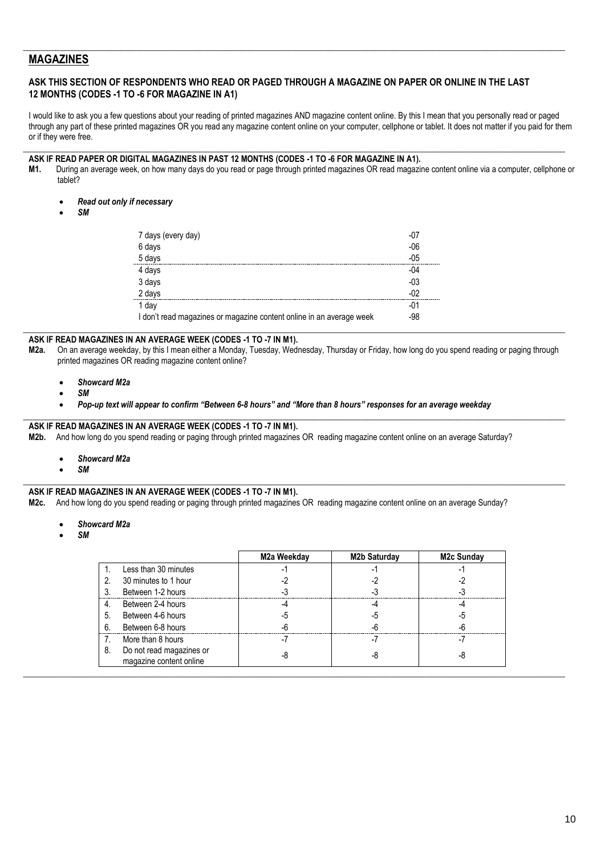## **MAGAZINES**

### **ASK THIS SECTION OF RESPONDENTS WHO READ OR PAGED THROUGH A MAGAZINE ON PAPER OR ONLINE IN THE LAST 12 MONTHS (CODES -1 TO -6 FOR MAGAZINE IN A1)**

I would like to ask you a few questions about your reading of printed magazines AND magazine content online. By this I mean that you personally read or paged through any part of these printed magazines OR you read any magazine content online on your computer, cellphone or tablet. It does not matter if you paid for them or if they were free.

 $\_$  , and the set of the set of the set of the set of the set of the set of the set of the set of the set of the set of the set of the set of the set of the set of the set of the set of the set of the set of the set of th

 $\_$  , and the set of the set of the set of the set of the set of the set of the set of the set of the set of the set of the set of the set of the set of the set of the set of the set of the set of the set of the set of th

## **ASK IF READ PAPER OR DIGITAL MAGAZINES IN PAST 12 MONTHS (CODES -1 TO -6 FOR MAGAZINE IN A1).**

- **M1.** During an average week, on how many days do you read or page through printed magazines OR read magazine content online via a computer, cellphone or tablet?
	- *Read out only if necessary*
	- *SM*

| 7 days (every day)                                                   | -07                       |
|----------------------------------------------------------------------|---------------------------|
| 6 days                                                               | $-06$                     |
| 5 days                                                               | $-05$<br>                 |
| 4 days                                                               | -04                       |
| 3 days                                                               | $-03$                     |
| 2 days<br>-----------                                                | $-02$                     |
| day                                                                  | ------------------<br>-01 |
| I don't read magazines or magazine content online in an average week | -98                       |

## **ASK IF READ MAGAZINES IN AN AVERAGE WEEK (CODES -1 TO -7 IN M1).**

- **M2a.** On an average weekday, by this I mean either a Monday, Tuesday, Wednesday, Thursday or Friday, how long do you spend reading or paging through printed magazines OR reading magazine content online?
	- *Showcard M2a*
	- *SM*
	- *Pop-up text will appear to confirm "Between 6-8 hours" and "More than 8 hours" responses for an average weekday*

#### $\_$  ,  $\_$  ,  $\_$  ,  $\_$  ,  $\_$  ,  $\_$  ,  $\_$  ,  $\_$  ,  $\_$  ,  $\_$  ,  $\_$  ,  $\_$  ,  $\_$  ,  $\_$  ,  $\_$  ,  $\_$  ,  $\_$  ,  $\_$  ,  $\_$  ,  $\_$  ,  $\_$  ,  $\_$  ,  $\_$  ,  $\_$  ,  $\_$  ,  $\_$  ,  $\_$  ,  $\_$  ,  $\_$  ,  $\_$  ,  $\_$  ,  $\_$  ,  $\_$  ,  $\_$  ,  $\_$  ,  $\_$  ,  $\_$  , **ASK IF READ MAGAZINES IN AN AVERAGE WEEK (CODES -1 TO -7 IN M1).**

**M2b.** And how long do you spend reading or paging through printed magazines OR reading magazine content online on an average Saturday?

- *Showcard M2a*
- *SM*

#### $\_$  ,  $\_$  ,  $\_$  ,  $\_$  ,  $\_$  ,  $\_$  ,  $\_$  ,  $\_$  ,  $\_$  ,  $\_$  ,  $\_$  ,  $\_$  ,  $\_$  ,  $\_$  ,  $\_$  ,  $\_$  ,  $\_$  ,  $\_$  ,  $\_$  ,  $\_$  ,  $\_$  ,  $\_$  ,  $\_$  ,  $\_$  ,  $\_$  ,  $\_$  ,  $\_$  ,  $\_$  ,  $\_$  ,  $\_$  ,  $\_$  ,  $\_$  ,  $\_$  ,  $\_$  ,  $\_$  ,  $\_$  ,  $\_$  , **ASK IF READ MAGAZINES IN AN AVERAGE WEEK (CODES -1 TO -7 IN M1).**

**M2c.** And how long do you spend reading or paging through printed magazines OR reading magazine content online on an average Sunday?

- *Showcard M2a*
- *SM*

|    |                          | M2a Weekday | <b>M2b Saturday</b> | M <sub>2</sub> c Sunday |
|----|--------------------------|-------------|---------------------|-------------------------|
|    | Less than 30 minutes     |             |                     |                         |
|    | 30 minutes to 1 hour     |             |                     |                         |
|    | Between 1-2 hours        |             |                     |                         |
| 4. | Between 2-4 hours        |             |                     |                         |
| 5. | Between 4-6 hours        |             |                     |                         |
| 6. | Between 6-8 hours        |             |                     |                         |
|    | More than 8 hours        |             |                     |                         |
| 8. | Do not read magazines or |             |                     |                         |
|    | magazine content online  |             |                     |                         |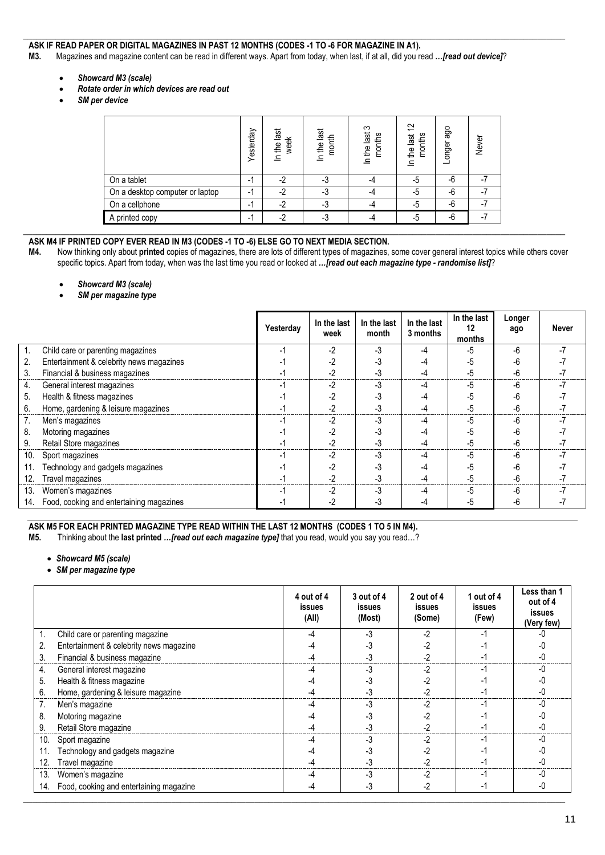# **ASK IF READ PAPER OR DIGITAL MAGAZINES IN PAST 12 MONTHS (CODES -1 TO -6 FOR MAGAZINE IN A1).**<br>**M3.** Magazines and magazine content can be read in different ways. Apart from today, when last, if at all, did you re

**M3.** Magazines and magazine content can be read in different ways. Apart from today, when last, if at all, did you read *…[read out device]*?

 $\_$  ,  $\_$  ,  $\_$  ,  $\_$  ,  $\_$  ,  $\_$  ,  $\_$  ,  $\_$  ,  $\_$  ,  $\_$  ,  $\_$  ,  $\_$  ,  $\_$  ,  $\_$  ,  $\_$  ,  $\_$  ,  $\_$  ,  $\_$  ,  $\_$  ,  $\_$  ,  $\_$  ,  $\_$  ,  $\_$  ,  $\_$  ,  $\_$  ,  $\_$  ,  $\_$  ,  $\_$  ,  $\_$  ,  $\_$  ,  $\_$  ,  $\_$  ,  $\_$  ,  $\_$  ,  $\_$  ,  $\_$  ,  $\_$  ,

- *Showcard M3 (scale)*
- *Rotate order in which devices are read out*
- *SM per device*

|                                 | Yesterday | In the last<br>week | last<br>month<br>In the | က<br>In the last<br>months | $\tilde{c}$<br>months<br>last<br>In the | ago<br>Longer | Never |
|---------------------------------|-----------|---------------------|-------------------------|----------------------------|-----------------------------------------|---------------|-------|
| On a tablet                     | - 1       | -2                  | -3                      |                            | -5                                      | -6            |       |
| On a desktop computer or laptop | - 1       | -2                  | -3                      |                            | -5                                      | -6            | -1    |
| On a cellphone                  | $-1$      | -2                  | -3                      |                            | -5                                      | -6            | $-7$  |
| A printed copy                  | и         | $-2$                | -3                      |                            | -5                                      | -6            | -1    |

#### $\_$  ,  $\_$  ,  $\_$  ,  $\_$  ,  $\_$  ,  $\_$  ,  $\_$  ,  $\_$  ,  $\_$  ,  $\_$  ,  $\_$  ,  $\_$  ,  $\_$  ,  $\_$  ,  $\_$  ,  $\_$  ,  $\_$  ,  $\_$  ,  $\_$  ,  $\_$  ,  $\_$  ,  $\_$  ,  $\_$  ,  $\_$  ,  $\_$  ,  $\_$  ,  $\_$  ,  $\_$  ,  $\_$  ,  $\_$  ,  $\_$  ,  $\_$  ,  $\_$  ,  $\_$  ,  $\_$  ,  $\_$  ,  $\_$  , **ASK M4 IF PRINTED COPY EVER READ IN M3 (CODES -1 TO -6) ELSE GO TO NEXT MEDIA SECTION.**

- **M4.** Now thinking only about **printed** copies of magazines, there are lots of different types of magazines, some cover general interest topics while others cover specific topics. Apart from today, when was the last time you read or looked at *…[read out each magazine type - randomise list]*?
	- *Showcard M3 (scale)*
	- *SM per magazine type*

|     |                                          | Yesterday | In the last<br>week | In the last<br>month | In the last<br>3 months | In the last<br>months | Longer<br>ago | Never |
|-----|------------------------------------------|-----------|---------------------|----------------------|-------------------------|-----------------------|---------------|-------|
|     | Child care or parenting magazines        |           | $-2$                | -3                   |                         | -5                    | -6            |       |
|     | Entertainment & celebrity news magazines |           |                     |                      |                         |                       |               |       |
| 3.  | Financial & business magazines           |           |                     |                      |                         |                       |               |       |
| 4.  | General interest magazines               |           |                     | -3                   |                         | -5                    | -h            |       |
| 5.  | Health & fitness magazines               |           |                     |                      |                         |                       |               |       |
| 6.  | Home, gardening & leisure magazines      |           |                     |                      |                         |                       |               |       |
|     | Men's magazines                          |           |                     |                      |                         | -5                    | -n            |       |
| 8.  | Motoring magazines                       |           |                     |                      |                         |                       |               |       |
| 9.  | Retail Store magazines                   |           |                     |                      |                         |                       |               |       |
| 10. | Sport magazines                          |           | -2                  | -3                   |                         | -5                    | -h            |       |
| 11. | Technology and gadgets magazines         |           |                     |                      |                         |                       |               |       |
| 12. | Travel magazines                         |           |                     |                      |                         |                       |               |       |
| 13. | Women's magazines                        |           |                     |                      |                         | -5                    |               |       |
| 14. | Food, cooking and entertaining magazines |           |                     |                      |                         | ל.                    | -n            |       |

**ASK M5 FOR EACH PRINTED MAGAZINE TYPE READ WITHIN THE LAST 12 MONTHS (CODES 1 TO 5 IN M4).**

**M5.** Thinking about the **last printed** *…[read out each magazine type]* that you read, would you say you read…?

• *Showcard M5 (scale)*

• *SM per magazine type*

|     |                                         | 4 out of 4<br><i>issues</i><br>(All) | 3 out of 4<br><b>issues</b><br>(Most) | 2 out of 4<br>issues<br>(Some) | 1 out of 4<br>issues<br>(Few) | Less than 1<br>out of 4<br><b>issues</b><br>(Very few) |
|-----|-----------------------------------------|--------------------------------------|---------------------------------------|--------------------------------|-------------------------------|--------------------------------------------------------|
| 1.  | Child care or parenting magazine        |                                      | -3                                    | -2                             |                               |                                                        |
| 2.  | Entertainment & celebrity news magazine |                                      |                                       |                                |                               |                                                        |
| 3   | Financial & business magazine           |                                      |                                       |                                |                               |                                                        |
| 4.  | General interest magazine               |                                      |                                       |                                |                               |                                                        |
| 5   | Health & fitness magazine               |                                      |                                       |                                |                               |                                                        |
| 6.  | Home, gardening & leisure magazine      |                                      |                                       |                                |                               |                                                        |
| 7.  | Men's magazine                          |                                      |                                       |                                |                               |                                                        |
| 8.  | Motoring magazine                       |                                      |                                       |                                |                               |                                                        |
| 9.  | Retail Store magazine                   |                                      |                                       |                                |                               |                                                        |
| 10. | Sport magazine                          |                                      |                                       |                                |                               |                                                        |
| 11. | Technology and gadgets magazine         |                                      |                                       |                                |                               |                                                        |
| 12. | Travel magazine                         |                                      |                                       |                                |                               |                                                        |
| 13. | Women's magazine                        |                                      |                                       |                                |                               |                                                        |
| 14. | Food, cooking and entertaining magazine |                                      |                                       |                                |                               |                                                        |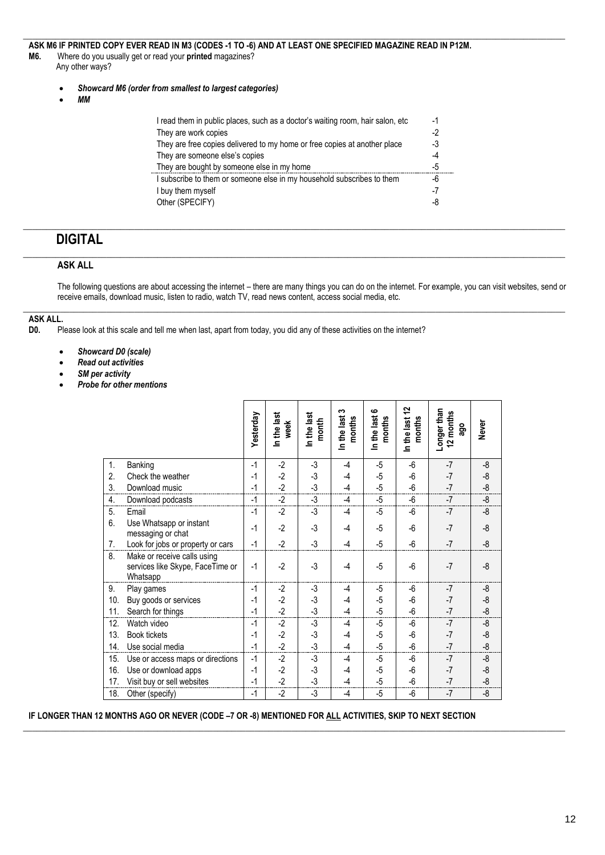#### $\_$  ,  $\_$  ,  $\_$  ,  $\_$  ,  $\_$  ,  $\_$  ,  $\_$  ,  $\_$  ,  $\_$  ,  $\_$  ,  $\_$  ,  $\_$  ,  $\_$  ,  $\_$  ,  $\_$  ,  $\_$  ,  $\_$  ,  $\_$  ,  $\_$  ,  $\_$  ,  $\_$  ,  $\_$  ,  $\_$  ,  $\_$  ,  $\_$  ,  $\_$  ,  $\_$  ,  $\_$  ,  $\_$  ,  $\_$  ,  $\_$  ,  $\_$  ,  $\_$  ,  $\_$  ,  $\_$  ,  $\_$  ,  $\_$  , **ASK M6 IF PRINTED COPY EVER READ IN M3 (CODES -1 TO -6) AND AT LEAST ONE SPECIFIED MAGAZINE READ IN P12M.**

**M6.** Where do you usually get or read your **printed** magazines? Any other ways?

- *Showcard M6 (order from smallest to largest categories)*
- *MM*

| I read them in public places, such as a doctor's waiting room, hair salon, etc | -1   |
|--------------------------------------------------------------------------------|------|
| They are work copies                                                           | $-2$ |
| They are free copies delivered to my home or free copies at another place      | -3   |
| They are someone else's copies                                                 | -4   |
| They are bought by someone else in my home                                     | -5   |
| I subscribe to them or someone else in my household subscribes to them         | -6   |
| I buy them myself                                                              | -7   |
| Other (SPECIFY)                                                                | -8   |

 $\_$  ,  $\_$  ,  $\_$  ,  $\_$  ,  $\_$  ,  $\_$  ,  $\_$  ,  $\_$  ,  $\_$  ,  $\_$  ,  $\_$  ,  $\_$  ,  $\_$  ,  $\_$  ,  $\_$  ,  $\_$  ,  $\_$  ,  $\_$  ,  $\_$  ,  $\_$  ,  $\_$  ,  $\_$  ,  $\_$  ,  $\_$  ,  $\_$  ,  $\_$  ,  $\_$  ,  $\_$  ,  $\_$  ,  $\_$  ,  $\_$  ,  $\_$  ,  $\_$  ,  $\_$  ,  $\_$  ,  $\_$  ,  $\_$  ,

 $\_$  ,  $\_$  ,  $\_$  ,  $\_$  ,  $\_$  ,  $\_$  ,  $\_$  ,  $\_$  ,  $\_$  ,  $\_$  ,  $\_$  ,  $\_$  ,  $\_$  ,  $\_$  ,  $\_$  ,  $\_$  ,  $\_$  ,  $\_$  ,  $\_$  ,  $\_$  ,  $\_$  ,  $\_$  ,  $\_$  ,  $\_$  ,  $\_$  ,  $\_$  ,  $\_$  ,  $\_$  ,  $\_$  ,  $\_$  ,  $\_$  ,  $\_$  ,  $\_$  ,  $\_$  ,  $\_$  ,  $\_$  ,  $\_$  ,

 $\_$  , and the set of the set of the set of the set of the set of the set of the set of the set of the set of the set of the set of the set of the set of the set of the set of the set of the set of the set of the set of th

## **DIGITAL**

## **ASK ALL**

The following questions are about accessing the internet – there are many things you can do on the internet. For example, you can visit websites, send or receive emails, download music, listen to radio, watch TV, read news content, access social media, etc.

# **ASK ALL.**<br>D0. Pl

Please look at this scale and tell me when last, apart from today, you did any of these activities on the internet?

- *Showcard D0 (scale)*
- *Read out activities*
- *SM per activity*
- *Probe for other mentions*

|     |                                                                             | Yesterday | In the last<br>week | In the last<br>month | ω<br>In the last<br>months | ဖ<br>In the last<br>months | In the last 12<br>months | Longer than<br>12 months<br>ago | Never |
|-----|-----------------------------------------------------------------------------|-----------|---------------------|----------------------|----------------------------|----------------------------|--------------------------|---------------------------------|-------|
| 1.  | Banking                                                                     | $-1$      | $-2$                | $-3$                 | $-4$                       | $-5$                       | $-6$                     | $-7$                            | -8    |
| 2.  | Check the weather                                                           | $-1$      | $-2$                | $-3$                 | $-4$                       | $-5$                       | $-6$                     | $-7$                            | -8    |
| 3.  | Download music                                                              | $-1$      | $-2$                | $-3$                 | -4                         | $-5$                       | $-6$                     | $-7$                            | $-8$  |
| 4.  | Download podcasts                                                           | $-1$      | $-2$                | $-3$                 | $-4$                       | $-5$                       | $-6$                     | $-7$                            | -8    |
| 5.  | Email                                                                       | $-1$      | $-2$                | $-3$                 | -4                         | -5                         | $-6$                     | $-7$                            | -8    |
| 6.  | Use Whatsapp or instant<br>messaging or chat                                | $-1$      | $-2$                | $-3$                 | -4                         | $-5$                       | $-6$                     | $-7$                            | $-8$  |
| 7.  | Look for jobs or property or cars                                           | $-1$      | $-2$                | $-3$                 | $-4$                       | $-5$                       | $-6$                     | $-7$                            | -8    |
| 8.  | Make or receive calls using<br>services like Skype, FaceTime or<br>Whatsapp | $-1$      | $-2$                | $-3$                 | $-4$                       | -5                         | $-6$                     | $-7$                            | -8    |
| 9.  | Play games                                                                  | $-1$      | $-2$                | $-3$                 | $-4$                       | $-5$                       | $-6$                     | $-7$                            | -8    |
| 10. | Buy goods or services                                                       | $-1$      | $-2$                | $-3$                 | $-4$                       | $-5$                       | -6                       | $-7$                            | $-8$  |
| 11. | Search for things                                                           | $-1$      | $-2$                | $-3$                 | $-4$                       | $-5$                       | $-6$                     | $-7$                            | $-8$  |
| 12. | Watch video                                                                 | $-1$      | $-2$                | $-3$                 | $-4$                       | $-5$                       | $-6$                     | $-7$                            | -8    |
| 13. | Book tickets                                                                | $-1$      | $-2$                | $-3$                 | -4                         | $-5$                       | -6                       | $-7$                            | $-8$  |
| 14. | Use social media                                                            | $-1$      | $-2$                | $-3$                 | -4                         | $-5$                       | $-6$                     | $-7$                            | $-8$  |
| 15. | Use or access maps or directions                                            | $-1$      | $-2$                | $-3$                 | -4                         | $-5$                       | -6                       | $-7$                            | -8    |
| 16. | Use or download apps                                                        | $-1$      | $-2$                | $-3$                 | -4                         | $-5$                       | -6                       | $-7$                            | $-8$  |
| 17. | Visit buy or sell websites                                                  | $-1$      | $-2$                | $-3$                 | $-4$                       | $-5$                       | $-6$                     | $-7$                            | $-8$  |
| 18. | Other (specify)                                                             | $-1$      | $-2$                | $-3$                 | -4                         | $-5$                       | $-6$                     | $-7$                            | $-8$  |

 $\_$  ,  $\_$  ,  $\_$  ,  $\_$  ,  $\_$  ,  $\_$  ,  $\_$  ,  $\_$  ,  $\_$  ,  $\_$  ,  $\_$  ,  $\_$  ,  $\_$  ,  $\_$  ,  $\_$  ,  $\_$  ,  $\_$  ,  $\_$  ,  $\_$  ,  $\_$  ,  $\_$  ,  $\_$  ,  $\_$  ,  $\_$  ,  $\_$  ,  $\_$  ,  $\_$  ,  $\_$  ,  $\_$  ,  $\_$  ,  $\_$  ,  $\_$  ,  $\_$  ,  $\_$  ,  $\_$  ,  $\_$  ,  $\_$  ,

## **IF LONGER THAN 12 MONTHS AGO OR NEVER (CODE –7 OR -8) MENTIONED FOR ALL ACTIVITIES, SKIP TO NEXT SECTION**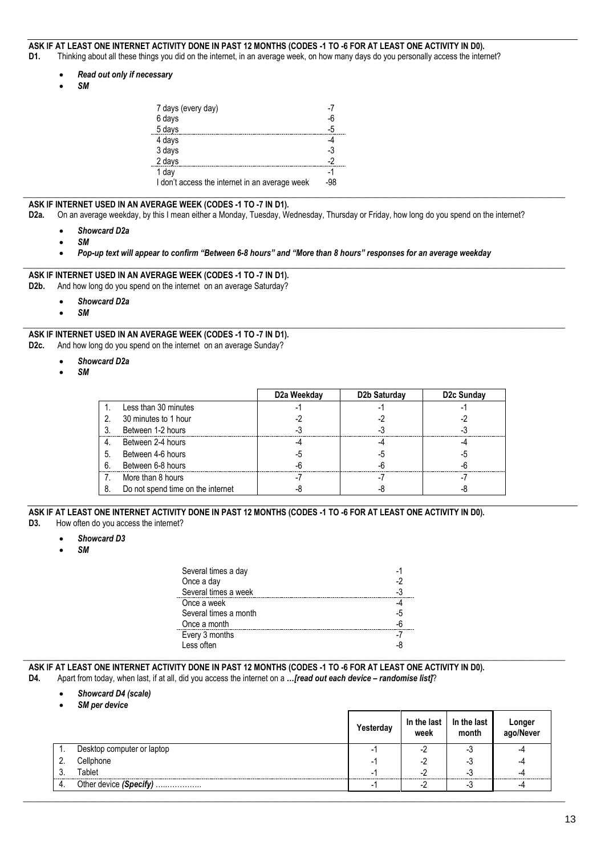### **ASK IF AT LEAST ONE INTERNET ACTIVITY DONE IN PAST 12 MONTHS (CODES -1 TO -6 FOR AT LEAST ONE ACTIVITY IN D0).**

**D1.** Thinking about all these things you did on the internet, in an average week, on how many days do you personally access the internet?

- *Read out only if necessary*
- *SM*

| 7 days (every day)                             |     |
|------------------------------------------------|-----|
| 6 days                                         |     |
| 5 days                                         | -5  |
| 4 days                                         |     |
| 3 days                                         | -3  |
| 2 days                                         | -2  |
| 1 day                                          |     |
| I don't access the internet in an average week | .98 |

#### $\_$  ,  $\_$  ,  $\_$  ,  $\_$  ,  $\_$  ,  $\_$  ,  $\_$  ,  $\_$  ,  $\_$  ,  $\_$  ,  $\_$  ,  $\_$  ,  $\_$  ,  $\_$  ,  $\_$  ,  $\_$  ,  $\_$  ,  $\_$  ,  $\_$  ,  $\_$  ,  $\_$  ,  $\_$  ,  $\_$  ,  $\_$  ,  $\_$  ,  $\_$  ,  $\_$  ,  $\_$  ,  $\_$  ,  $\_$  ,  $\_$  ,  $\_$  ,  $\_$  ,  $\_$  ,  $\_$  ,  $\_$  ,  $\_$  , **ASK IF INTERNET USED IN AN AVERAGE WEEK (CODES -1 TO -7 IN D1).**

**D2a.** On an average weekday, by this I mean either a Monday, Tuesday, Wednesday, Thursday or Friday, how long do you spend on the internet?

- *Showcard D2a*
- *SM*
- *Pop-up text will appear to confirm "Between 6-8 hours" and "More than 8 hours" responses for an average weekday*

#### $\_$  , and the set of the set of the set of the set of the set of the set of the set of the set of the set of the set of the set of the set of the set of the set of the set of the set of the set of the set of the set of th **ASK IF INTERNET USED IN AN AVERAGE WEEK (CODES -1 TO -7 IN D1).**

**D2b.** And how long do you spend on the internet on an average Saturday?

- *Showcard D2a*
- *SM*

## **ASK IF INTERNET USED IN AN AVERAGE WEEK (CODES -1 TO -7 IN D1).**

**D2c.** And how long do you spend on the internet on an average Sunday?

- *Showcard D2a*
- *SM*

|    |                                   | D2a Weekday | D2b Saturday | D <sub>2</sub> c Sunday |
|----|-----------------------------------|-------------|--------------|-------------------------|
|    | Less than 30 minutes              |             |              |                         |
|    | 30 minutes to 1 hour              |             |              |                         |
|    | Between 1-2 hours                 |             |              | - 1                     |
| 4. | Between 2-4 hours                 |             |              |                         |
| 5. | Between 4-6 hours                 | -5          |              | ר.–                     |
| 6. | Between 6-8 hours                 | -h          |              | -r                      |
|    | More than 8 hours                 |             |              |                         |
|    | Do not spend time on the internet |             |              |                         |

 $\_$  ,  $\_$  ,  $\_$  ,  $\_$  ,  $\_$  ,  $\_$  ,  $\_$  ,  $\_$  ,  $\_$  ,  $\_$  ,  $\_$  ,  $\_$  ,  $\_$  ,  $\_$  ,  $\_$  ,  $\_$  ,  $\_$  ,  $\_$  ,  $\_$  ,  $\_$  ,  $\_$  ,  $\_$  ,  $\_$  ,  $\_$  ,  $\_$  ,  $\_$  ,  $\_$  ,  $\_$  ,  $\_$  ,  $\_$  ,  $\_$  ,  $\_$  ,  $\_$  ,  $\_$  ,  $\_$  ,  $\_$  ,  $\_$  ,

#### **ASK IF AT LEAST ONE INTERNET ACTIVITY DONE IN PAST 12 MONTHS (CODES -1 TO -6 FOR AT LEAST ONE ACTIVITY IN D0). D3.** How often do you access the internet?

- - *Showcard D3*
	- *SM*

| Several times a day   | -1   |
|-----------------------|------|
| Once a day            | -2   |
| Several times a week  | -3   |
| Once a week           | $-4$ |
| Several times a month | $-5$ |
| Once a month          | -6   |
| Every 3 months        | -7   |
| Less often            |      |

 $\_$  ,  $\_$  ,  $\_$  ,  $\_$  ,  $\_$  ,  $\_$  ,  $\_$  ,  $\_$  ,  $\_$  ,  $\_$  ,  $\_$  ,  $\_$  ,  $\_$  ,  $\_$  ,  $\_$  ,  $\_$  ,  $\_$  ,  $\_$  ,  $\_$  ,  $\_$  ,  $\_$  ,  $\_$  ,  $\_$  ,  $\_$  ,  $\_$  ,  $\_$  ,  $\_$  ,  $\_$  ,  $\_$  ,  $\_$  ,  $\_$  ,  $\_$  ,  $\_$  ,  $\_$  ,  $\_$  ,  $\_$  ,  $\_$  ,

#### **ASK IF AT LEAST ONE INTERNET ACTIVITY DONE IN PAST 12 MONTHS (CODES -1 TO -6 FOR AT LEAST ONE ACTIVITY IN D0). D4.** Apart from today, when last, if at all, did you access the internet on a *…[read out each device – randomise list]*?

- *Showcard D4 (scale)*
- *SM per device*

|     |                            | Yesterdav | In the last<br>week | In the last<br>month | Longer<br>ago/Never |
|-----|----------------------------|-----------|---------------------|----------------------|---------------------|
|     | Desktop computer or laptop |           |                     | - 3                  |                     |
| 2.  | Cellphone                  |           |                     | - 3                  |                     |
| . ب | Tablet                     |           |                     | н.                   |                     |
| -4. | Other device (Specify)     |           |                     | - 3                  | ------              |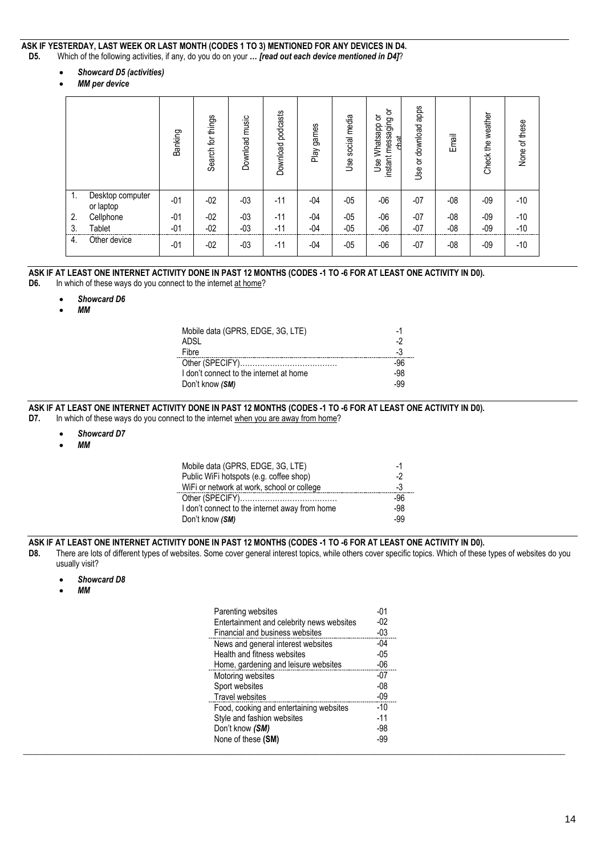#### **ASK IF YESTERDAY, LAST WEEK OR LAST MONTH (CODES 1 TO 3) MENTIONED FOR ANY DEVICES IN D4.**

**D5.** Which of the following activities, if any, do you do on your *… [read out each device mentioned in D4]*?

- *Showcard D5 (activities)*
- *MM per device*

|                                                                                                                                                                                                                                                                                                                                                                                                                                                                                                               | Desktop computer<br>1.                                                                                                                                                                                                                                                                              | Banking        | Search for things | Download music                                                                                                               | Download podcasts                                                                                                                                                                                                                                                  | Play games     | Use social media | instant messaging or<br>Use Whatsapp or<br>chat                                                                   | Use or download apps | Email          | Check the weather | None of these  |  |
|---------------------------------------------------------------------------------------------------------------------------------------------------------------------------------------------------------------------------------------------------------------------------------------------------------------------------------------------------------------------------------------------------------------------------------------------------------------------------------------------------------------|-----------------------------------------------------------------------------------------------------------------------------------------------------------------------------------------------------------------------------------------------------------------------------------------------------|----------------|-------------------|------------------------------------------------------------------------------------------------------------------------------|--------------------------------------------------------------------------------------------------------------------------------------------------------------------------------------------------------------------------------------------------------------------|----------------|------------------|-------------------------------------------------------------------------------------------------------------------|----------------------|----------------|-------------------|----------------|--|
|                                                                                                                                                                                                                                                                                                                                                                                                                                                                                                               | or laptop                                                                                                                                                                                                                                                                                           | $-01$          | $-02$             | $-03$                                                                                                                        | $-11$                                                                                                                                                                                                                                                              | $-04$          | $-05$            | $-06$                                                                                                             | $-07$                | $-08$          | $-09$             | $-10$          |  |
|                                                                                                                                                                                                                                                                                                                                                                                                                                                                                                               | 2.<br>Cellphone<br>3.<br>Tablet                                                                                                                                                                                                                                                                     | $-01$<br>$-01$ | $-02$<br>$-02$    | $-03$<br>$-03$                                                                                                               | $-11$<br>$-11$                                                                                                                                                                                                                                                     | $-04$<br>$-04$ | $-05$<br>$-05$   | $-06$<br>$-06$                                                                                                    | $-07$<br>$-07$       | $-08$<br>$-08$ | -09<br>$-09$      | $-10$<br>$-10$ |  |
|                                                                                                                                                                                                                                                                                                                                                                                                                                                                                                               | $\overline{4}$ .<br>Other device                                                                                                                                                                                                                                                                    | $-01$          | $-02$             | $-03$                                                                                                                        | $-11$                                                                                                                                                                                                                                                              | $-04$          | $-05$            | $-06$                                                                                                             | $-07$                | $-08$          | $-09$             | $-10$          |  |
| In which of these ways do you connect to the internet at home?<br>D6.<br><b>Showcard D6</b><br>ΜМ<br>Mobile data (GPRS, EDGE, 3G, LTE)<br>$-1$<br>$-2$<br><b>ADSL</b><br>$-3$<br>Fibre<br>$-96$<br>I don't connect to the internet at home<br>$-98$<br>$-99$<br>Don't know (SM)<br>ASK IF AT LEAST ONE INTERNET ACTIVITY DONE IN PAST 12 MONTHS (CODES -1 TO -6 FOR AT LEAST ONE ACTIVITY IN D0).<br>In which of these ways do you connect to the internet when you are away from home?<br>D7.<br>Showcard D7 |                                                                                                                                                                                                                                                                                                     |                |                   |                                                                                                                              |                                                                                                                                                                                                                                                                    |                |                  |                                                                                                                   |                      |                |                   |                |  |
|                                                                                                                                                                                                                                                                                                                                                                                                                                                                                                               | <b>MM</b>                                                                                                                                                                                                                                                                                           |                | Don't know (SM)   |                                                                                                                              | Mobile data (GPRS, EDGE, 3G, LTE)<br>Public WiFi hotspots (e.g. coffee shop)<br>WiFi or network at work, school or college<br>I don't connect to the internet away from home                                                                                       |                |                  | $-1$<br>$-2$<br>$-3$<br>$-96$<br>$-98$<br>$-99$                                                                   |                      |                |                   |                |  |
| D8.                                                                                                                                                                                                                                                                                                                                                                                                                                                                                                           | ASK IF AT LEAST ONE INTERNET ACTIVITY DONE IN PAST 12 MONTHS (CODES -1 TO -6 FOR AT LEAST ONE ACTIVITY IN D0).<br>There are lots of different types of websites. Some cover general interest topics, while others cover specific topics. Which of these types of websites do your<br>usually visit? |                |                   |                                                                                                                              |                                                                                                                                                                                                                                                                    |                |                  |                                                                                                                   |                      |                |                   |                |  |
|                                                                                                                                                                                                                                                                                                                                                                                                                                                                                                               | Showcard D8<br>ΜМ                                                                                                                                                                                                                                                                                   |                |                   |                                                                                                                              |                                                                                                                                                                                                                                                                    |                |                  |                                                                                                                   |                      |                |                   |                |  |
|                                                                                                                                                                                                                                                                                                                                                                                                                                                                                                               |                                                                                                                                                                                                                                                                                                     |                |                   | Parenting websites<br>Motoring websites<br>Sport websites<br><b>Travel websites</b><br>Don't know (SM)<br>None of these (SM) | Entertainment and celebrity news websites<br>Financial and business websites<br>News and general interest websites<br>Health and fitness websites<br>Home, gardening and leisure websites<br>Food, cooking and entertaining websites<br>Style and fashion websites |                |                  | $-01$<br>$-02$<br>$-03$<br>$-04$<br>$-05$<br>$-06$<br>$-07$<br>$-08$<br>$-09$<br>$-10$<br>$-11$<br>$-98$<br>$-99$ |                      |                |                   |                |  |

# **ASK IF AT LEAST ONE INTERNET ACTIVITY DONE IN PAST 12 MONTHS (CODES -1 TO -6 FOR AT LEAST ONE ACTIVITY IN D0).**<br>D6. In which of these ways do you connect to the internet at home?

- *Showcard D6*
- *MM*

| Mobile data (GPRS, EDGE, 3G, LTE)<br>ADSI<br>Fibre | -1<br>-2<br>-3 |
|----------------------------------------------------|----------------|
|                                                    | -96            |
| I don't connect to the internet at home            | -98            |
| Don't know (SM)                                    | $-99$          |

## **ASK IF AT LEAST ONE INTERNET ACTIVITY DONE IN PAST 12 MONTHS (CODES -1 TO -6 FOR AT LEAST ONE ACTIVITY IN D0).**

- *Showcard D7*
- *MM*

| Mobile data (GPRS, EDGE, 3G, LTE)              | -1    |
|------------------------------------------------|-------|
| Public WiFi hotspots (e.g. coffee shop)        | $-2$  |
| WiFi or network at work, school or college     | -3    |
|                                                | -96   |
| I don't connect to the internet away from home | -98   |
| Don't know (SM)                                | $-99$ |

# **ASK IF AT LEAST ONE INTERNET ACTIVITY DONE IN PAST 12 MONTHS (CODES -1 TO -6 FOR AT LEAST ONE ACTIVITY IN D0).**<br>D8. There are lots of different types of websites. Some cover general interest topics, while others cover spe

#### • *Showcard D8*

| Parenting websites<br>Entertainment and celebrity news websites<br>Financial and business websites | $-01$<br>-02<br>$-03$ |
|----------------------------------------------------------------------------------------------------|-----------------------|
| News and general interest websites                                                                 | $-04$                 |
| Health and fitness websites                                                                        | $-0.5$                |
| Home, gardening and leisure websites                                                               | $-06$                 |
| Motoring websites                                                                                  | $-07$                 |
| Sport websites                                                                                     | -08                   |
| <b>Travel websites</b>                                                                             | -09                   |
| Food, cooking and entertaining websites                                                            | -10                   |
| Style and fashion websites                                                                         | $-11$                 |
| Don't know (SM)                                                                                    | -98                   |
| None of these (SM)                                                                                 | -99                   |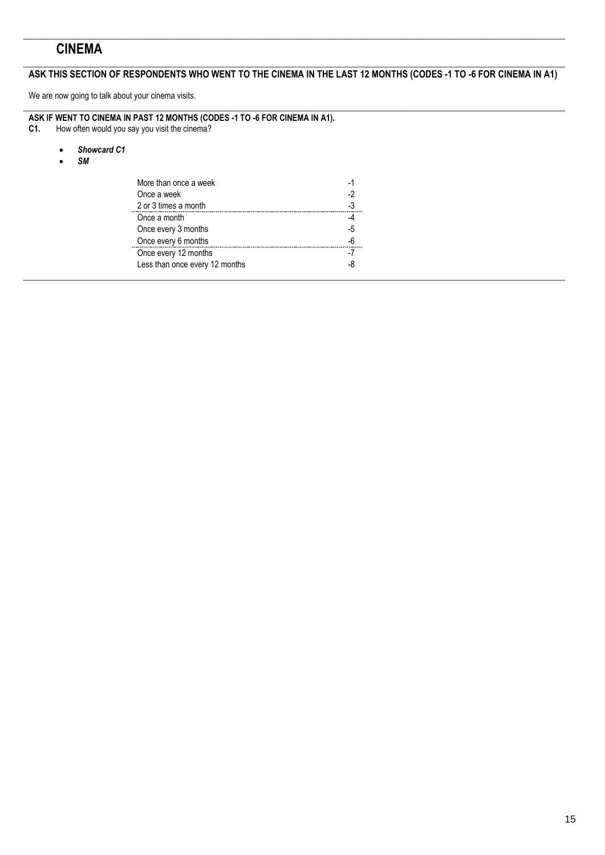## **CINEMA**

#### $\_$  ,  $\_$  ,  $\_$  ,  $\_$  ,  $\_$  ,  $\_$  ,  $\_$  ,  $\_$  ,  $\_$  ,  $\_$  ,  $\_$  ,  $\_$  ,  $\_$  ,  $\_$  ,  $\_$  ,  $\_$  ,  $\_$  ,  $\_$  ,  $\_$  ,  $\_$  ,  $\_$  ,  $\_$  ,  $\_$  ,  $\_$  ,  $\_$  ,  $\_$  ,  $\_$  ,  $\_$  ,  $\_$  ,  $\_$  ,  $\_$  ,  $\_$  ,  $\_$  ,  $\_$  ,  $\_$  ,  $\_$  ,  $\_$  , **ASK THIS SECTION OF RESPONDENTS WHO WENT TO THE CINEMA IN THE LAST 12 MONTHS (CODES -1 TO -6 FOR CINEMA IN A1)**

 $\_$  ,  $\_$  ,  $\_$  ,  $\_$  ,  $\_$  ,  $\_$  ,  $\_$  ,  $\_$  ,  $\_$  ,  $\_$  ,  $\_$  ,  $\_$  ,  $\_$  ,  $\_$  ,  $\_$  ,  $\_$  ,  $\_$  ,  $\_$  ,  $\_$  ,  $\_$  ,  $\_$  ,  $\_$  ,  $\_$  ,  $\_$  ,  $\_$  ,  $\_$  ,  $\_$  ,  $\_$  ,  $\_$  ,  $\_$  ,  $\_$  ,  $\_$  ,  $\_$  ,  $\_$  ,  $\_$  ,  $\_$  ,  $\_$  ,

We are now going to talk about your cinema visits.

| ASK IF WENT TO CINEMA IN PAST 12 MONTHS (CODES -1 TO -6 FOR CINEMA IN A1). |  |
|----------------------------------------------------------------------------|--|

**C1.** How often would you say you visit the cinema?

- *Showcard C1*
- *SM*

| More than once a week          | -  |
|--------------------------------|----|
| Once a week                    |    |
| 2 or 3 times a month           |    |
| Once a month                   |    |
| Once every 3 months            |    |
| Once every 6 months            |    |
| Once every 12 months           |    |
| Less than once every 12 months | -c |
|                                |    |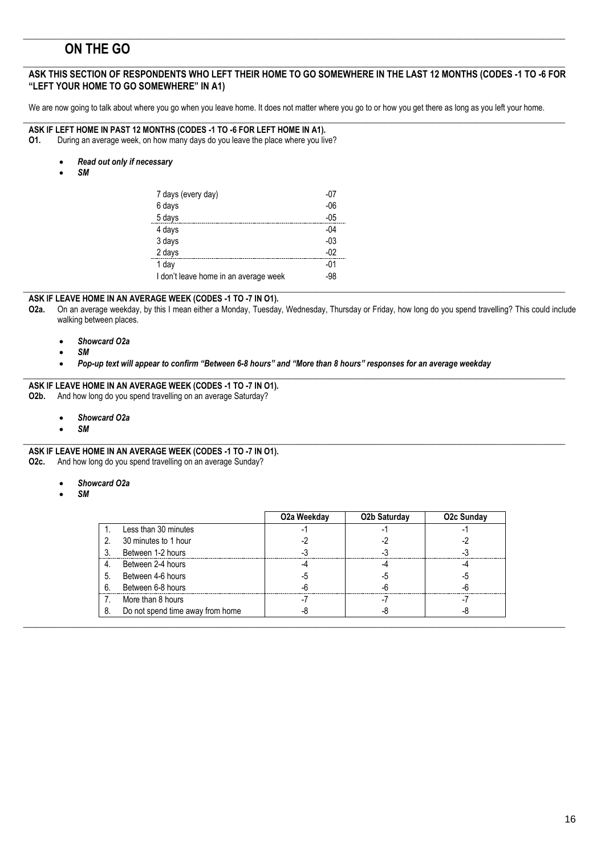## **ON THE GO**

#### $\_$  ,  $\_$  ,  $\_$  ,  $\_$  ,  $\_$  ,  $\_$  ,  $\_$  ,  $\_$  ,  $\_$  ,  $\_$  ,  $\_$  ,  $\_$  ,  $\_$  ,  $\_$  ,  $\_$  ,  $\_$  ,  $\_$  ,  $\_$  ,  $\_$  ,  $\_$  ,  $\_$  ,  $\_$  ,  $\_$  ,  $\_$  ,  $\_$  ,  $\_$  ,  $\_$  ,  $\_$  ,  $\_$  ,  $\_$  ,  $\_$  ,  $\_$  ,  $\_$  ,  $\_$  ,  $\_$  ,  $\_$  ,  $\_$  , **ASK THIS SECTION OF RESPONDENTS WHO LEFT THEIR HOME TO GO SOMEWHERE IN THE LAST 12 MONTHS (CODES -1 TO -6 FOR "LEFT YOUR HOME TO GO SOMEWHERE" IN A1)**

 $\_$  ,  $\_$  ,  $\_$  ,  $\_$  ,  $\_$  ,  $\_$  ,  $\_$  ,  $\_$  ,  $\_$  ,  $\_$  ,  $\_$  ,  $\_$  ,  $\_$  ,  $\_$  ,  $\_$  ,  $\_$  ,  $\_$  ,  $\_$  ,  $\_$  ,  $\_$  ,  $\_$  ,  $\_$  ,  $\_$  ,  $\_$  ,  $\_$  ,  $\_$  ,  $\_$  ,  $\_$  ,  $\_$  ,  $\_$  ,  $\_$  ,  $\_$  ,  $\_$  ,  $\_$  ,  $\_$  ,  $\_$  ,  $\_$  ,

We are now going to talk about where you go when you leave home. It does not matter where you go to or how you get there as long as you left your home.

#### $\_$  ,  $\_$  ,  $\_$  ,  $\_$  ,  $\_$  ,  $\_$  ,  $\_$  ,  $\_$  ,  $\_$  ,  $\_$  ,  $\_$  ,  $\_$  ,  $\_$  ,  $\_$  ,  $\_$  ,  $\_$  ,  $\_$  ,  $\_$  ,  $\_$  ,  $\_$  ,  $\_$  ,  $\_$  ,  $\_$  ,  $\_$  ,  $\_$  ,  $\_$  ,  $\_$  ,  $\_$  ,  $\_$  ,  $\_$  ,  $\_$  ,  $\_$  ,  $\_$  ,  $\_$  ,  $\_$  ,  $\_$  ,  $\_$  , **ASK IF LEFT HOME IN PAST 12 MONTHS (CODES -1 TO -6 FOR LEFT HOME IN A1).**

- **O1.** During an average week, on how many days do you leave the place where you live?
	- *Read out only if necessary*
	- *SM*

| 7 days (every day)                    | -07                             |
|---------------------------------------|---------------------------------|
| 6 days                                | $-06$                           |
| 5 days                                | $-05$<br>---------------------- |
| 4 days                                | $-04$                           |
| 3 days                                | -03                             |
| 2 days                                | -02<br>                         |
| day                                   | -01                             |
| I don't leave home in an average week | $-98$                           |
|                                       |                                 |

## **ASK IF LEAVE HOME IN AN AVERAGE WEEK (CODES -1 TO -7 IN O1).**

- **O2a.** On an average weekday, by this I mean either a Monday, Tuesday, Wednesday, Thursday or Friday, how long do you spend travelling? This could include walking between places.
	- *Showcard O2a*
	- *SM*
	- *Pop-up text will appear to confirm "Between 6-8 hours" and "More than 8 hours" responses for an average weekday*

#### $\_$  ,  $\_$  ,  $\_$  ,  $\_$  ,  $\_$  ,  $\_$  ,  $\_$  ,  $\_$  ,  $\_$  ,  $\_$  ,  $\_$  ,  $\_$  ,  $\_$  ,  $\_$  ,  $\_$  ,  $\_$  ,  $\_$  ,  $\_$  ,  $\_$  ,  $\_$  ,  $\_$  ,  $\_$  ,  $\_$  ,  $\_$  ,  $\_$  ,  $\_$  ,  $\_$  ,  $\_$  ,  $\_$  ,  $\_$  ,  $\_$  ,  $\_$  ,  $\_$  ,  $\_$  ,  $\_$  ,  $\_$  ,  $\_$  , **ASK IF LEAVE HOME IN AN AVERAGE WEEK (CODES -1 TO -7 IN O1).**

**O2b.** And how long do you spend travelling on an average Saturday?

- *Showcard O2a*
- *SM*

#### $\_$  , and the set of the set of the set of the set of the set of the set of the set of the set of the set of the set of the set of the set of the set of the set of the set of the set of the set of the set of the set of th **ASK IF LEAVE HOME IN AN AVERAGE WEEK (CODES -1 TO -7 IN O1).**

**O2c.** And how long do you spend travelling on an average Sunday?

- *Showcard O2a*
- *SM*

|    |                                  | O2a Weekday | O <sub>2</sub> b Saturday | O2c Sundav |
|----|----------------------------------|-------------|---------------------------|------------|
|    | Less than 30 minutes             |             |                           |            |
| 2. | 30 minutes to 1 hour             |             |                           |            |
|    | Between 1-2 hours                |             |                           |            |
| 4. | Between 2-4 hours                |             |                           |            |
| 5. | Between 4-6 hours                |             |                           |            |
| 6. | Between 6-8 hours                |             |                           |            |
|    | More than 8 hours                |             |                           |            |
| 8. | Do not spend time away from home |             |                           |            |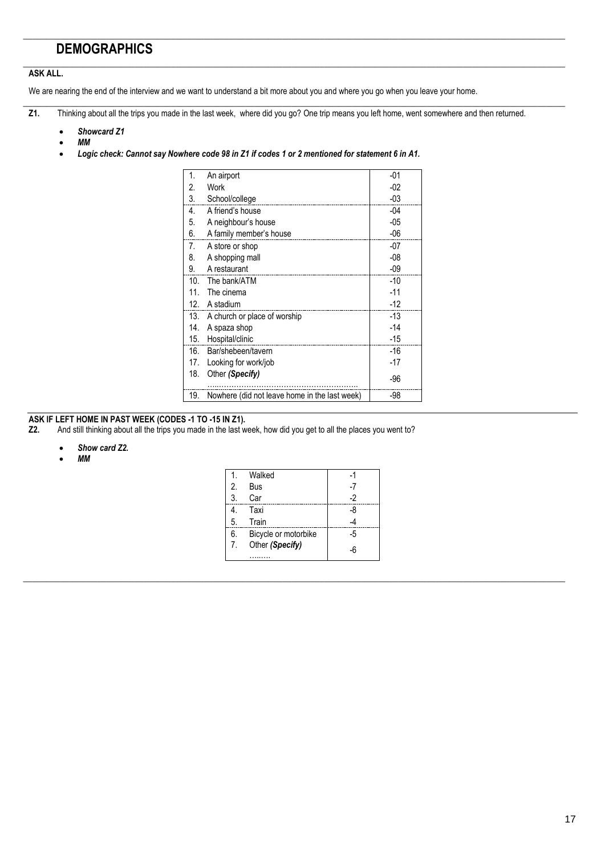## **DEMOGRAPHICS**

## **ASK ALL.**

We are nearing the end of the interview and we want to understand a bit more about you and where you go when you leave your home.

**Z1.** Thinking about all the trips you made in the last week, where did you go? One trip means you left home, went somewhere and then returned.

 $\_$  ,  $\_$  ,  $\_$  ,  $\_$  ,  $\_$  ,  $\_$  ,  $\_$  ,  $\_$  ,  $\_$  ,  $\_$  ,  $\_$  ,  $\_$  ,  $\_$  ,  $\_$  ,  $\_$  ,  $\_$  ,  $\_$  ,  $\_$  ,  $\_$  ,  $\_$  ,  $\_$  ,  $\_$  ,  $\_$  ,  $\_$  ,  $\_$  ,  $\_$  ,  $\_$  ,  $\_$  ,  $\_$  ,  $\_$  ,  $\_$  ,  $\_$  ,  $\_$  ,  $\_$  ,  $\_$  ,  $\_$  ,  $\_$  ,

 $\_$  ,  $\_$  ,  $\_$  ,  $\_$  ,  $\_$  ,  $\_$  ,  $\_$  ,  $\_$  ,  $\_$  ,  $\_$  ,  $\_$  ,  $\_$  ,  $\_$  ,  $\_$  ,  $\_$  ,  $\_$  ,  $\_$  ,  $\_$  ,  $\_$  ,  $\_$  ,  $\_$  ,  $\_$  ,  $\_$  ,  $\_$  ,  $\_$  ,  $\_$  ,  $\_$  ,  $\_$  ,  $\_$  ,  $\_$  ,  $\_$  ,  $\_$  ,  $\_$  ,  $\_$  ,  $\_$  ,  $\_$  ,  $\_$  ,

 $\_$  ,  $\_$  ,  $\_$  ,  $\_$  ,  $\_$  ,  $\_$  ,  $\_$  ,  $\_$  ,  $\_$  ,  $\_$  ,  $\_$  ,  $\_$  ,  $\_$  ,  $\_$  ,  $\_$  ,  $\_$  ,  $\_$  ,  $\_$  ,  $\_$  ,  $\_$  ,  $\_$  ,  $\_$  ,  $\_$  ,  $\_$  ,  $\_$  ,  $\_$  ,  $\_$  ,  $\_$  ,  $\_$  ,  $\_$  ,  $\_$  ,  $\_$  ,  $\_$  ,  $\_$  ,  $\_$  ,  $\_$  ,  $\_$  ,

- *Showcard Z1*
- *MM*
- *Logic check: Cannot say Nowhere code 98 in Z1 if codes 1 or 2 mentioned for statement 6 in A1.*

| 1.              | An airport                                    | $-01$ |
|-----------------|-----------------------------------------------|-------|
| 2.              | Work                                          | $-02$ |
| 3.              | School/college                                | $-03$ |
| 4.              | A friend's house                              | $-04$ |
| 5.              | A neighbour's house                           | $-05$ |
| 6.              | A family member's house                       | $-06$ |
| 7.              | A store or shop                               | -07   |
| 8.              | A shopping mall                               | $-08$ |
| 9.              | A restaurant                                  | $-09$ |
| 10 <sub>1</sub> | The bank/ATM                                  | $-10$ |
| 11 <sub>1</sub> | The cinema                                    | $-11$ |
| 12.             | A stadium                                     | $-12$ |
| 13.             | A church or place of worship                  | $-13$ |
| 14.             | A spaza shop                                  | $-14$ |
| 15.             | Hospital/clinic                               | $-15$ |
| 16.             | Bar/shebeen/tavern                            | $-16$ |
| 17.             | Looking for work/job                          | $-17$ |
| 18.             | Other (Specify)                               | $-96$ |
|                 |                                               |       |
| 19.             | Nowhere (did not leave home in the last week) | -98   |

# **ASK IF LEFT HOME IN PAST WEEK (CODES -1 TO -15 IN Z1).**<br>**Z2.** And still thinking about all the trips you made in the last w

- **Z2.** And still thinking about all the trips you made in the last week, how did you get to all the places you went to?
	- *Show card Z2.*
	- *MM*

| 1. | Walked               | -1 |
|----|----------------------|----|
| 2. | Bus                  | -7 |
| 3. | Car                  | -2 |
|    | Taxi                 | -8 |
| 5. | Train                |    |
| 6. | Bicycle or motorbike | -5 |
| 7. | Other (Specify)      |    |
|    |                      |    |

 $\_$  , and the set of the set of the set of the set of the set of the set of the set of the set of the set of the set of the set of the set of the set of the set of the set of the set of the set of the set of the set of th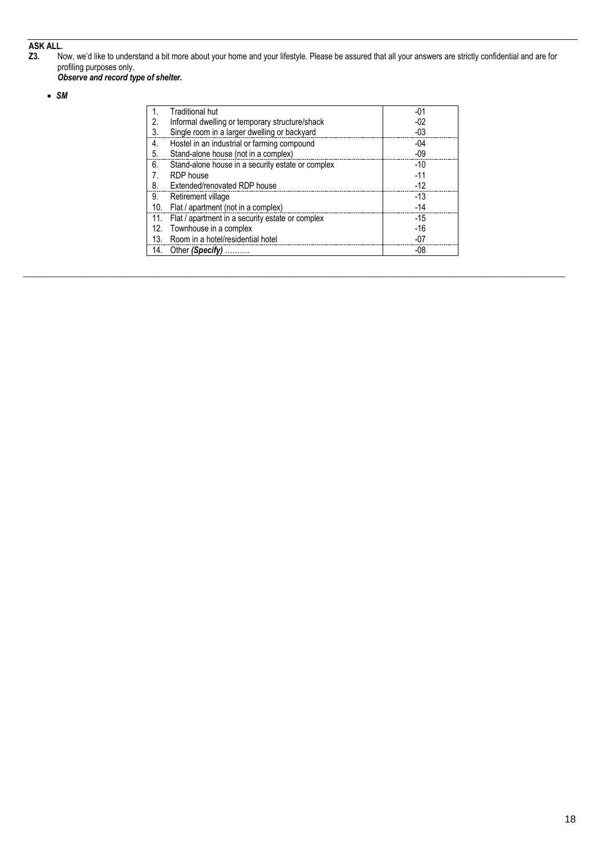# **ASK ALL.**<br>**Z3.** N

**Z3.** Now, we'd like to understand a bit more about your home and your lifestyle. Please be assured that all your answers are strictly confidential and are for profiling purposes only.

*Observe and record type of shelter.*

• *SM*

| $\mathbf 1$                     | Traditional hut                                   | $-01$ |
|---------------------------------|---------------------------------------------------|-------|
| 2.                              | Informal dwelling or temporary structure/shack    | $-02$ |
| 3.                              | Single room in a larger dwelling or backyard      | $-03$ |
| 4.                              | Hostel in an industrial or farming compound       | $-04$ |
| 5.                              | Stand-alone house (not in a complex)              | $-09$ |
| 6.                              | Stand-alone house in a security estate or complex | $-10$ |
| $7_{\scriptscriptstyle{\circ}}$ | RDP house                                         | $-11$ |
| 8.                              | Extended/renovated RDP house                      | $-12$ |
| 9.                              | Retirement village                                | $-13$ |
| 10.                             | Flat / apartment (not in a complex)               | $-14$ |
| 11.                             | Flat / apartment in a security estate or complex  | $-15$ |
| 12.                             | Townhouse in a complex                            | $-16$ |
| 13.                             | Room in a hotel/residential hotel                 | $-07$ |
| 14.                             | Other (Specify)                                   | -08   |

 $\_$  ,  $\_$  ,  $\_$  ,  $\_$  ,  $\_$  ,  $\_$  ,  $\_$  ,  $\_$  ,  $\_$  ,  $\_$  ,  $\_$  ,  $\_$  ,  $\_$  ,  $\_$  ,  $\_$  ,  $\_$  ,  $\_$  ,  $\_$  ,  $\_$  ,  $\_$  ,  $\_$  ,  $\_$  ,  $\_$  ,  $\_$  ,  $\_$  ,  $\_$  ,  $\_$  ,  $\_$  ,  $\_$  ,  $\_$  ,  $\_$  ,  $\_$  ,  $\_$  ,  $\_$  ,  $\_$  ,  $\_$  ,  $\_$  ,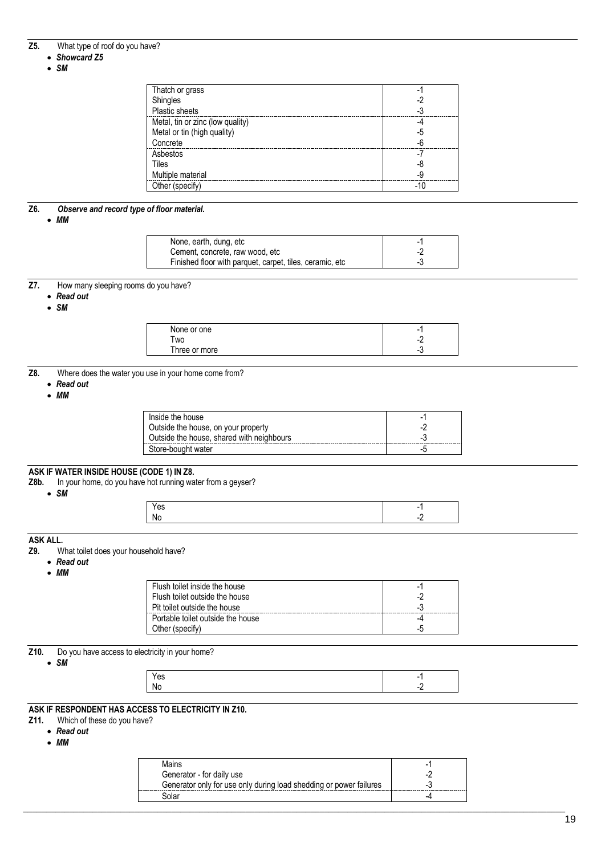## **Z5.** What type of roof do you have?

#### • *Showcard Z5*

• *SM*

| Thatch or grass                  |     |
|----------------------------------|-----|
| Shingles                         |     |
| Plastic sheets                   | -3  |
| Metal, tin or zinc (low quality) | -4  |
| Metal or tin (high quality)      | -5  |
| Concrete                         | -6  |
| Asbestos                         |     |
| Tiles                            | -8  |
| Multiple material                | -9  |
| Other (specify)                  | -10 |

## **Z6.** *Observe and record type of floor material.*

• *MM*

| None, earth, dung, etc.                                   | $\overline{\phantom{a}}$ |
|-----------------------------------------------------------|--------------------------|
| Cement, concrete, raw wood, etc                           | $-$                      |
| Finished floor with parquet, carpet, tiles, ceramic, etc. | -3                       |
|                                                           |                          |

**Z7.** How many sleeping rooms do you have?

• *Read out*

• *SM*

| None or one   | -     |
|---------------|-------|
| Two           | -     |
| Three or more | $-11$ |
|               |       |

**Z8.** Where does the water you use in your home come from?

- *Read out*
- *MM*

| Inside the house                          | -  |
|-------------------------------------------|----|
| Outside the house, on your property       | ٠. |
| Outside the house, shared with neighbours | -0 |
| Store-bought water                        | -" |

## **ASK IF WATER INSIDE HOUSE (CODE 1) IN Z8.**

**Z8b.** In your home, do you have hot running water from a geyser?

| 'es | - |  |
|-----|---|--|
| No  | - |  |

**ASK ALL.**<br>**Z9.** W

- **Z9.** What toilet does your household have?
- *Read out*

• *SM*

• *MM*

| Flush toilet inside the house     |    |
|-----------------------------------|----|
| Flush toilet outside the house    |    |
| Pit toilet outside the house      | -3 |
| Portable toilet outside the house | -4 |
| Other (specify)                   | -5 |

**Z10.** Do you have access to electricity in your home?

• *SM*

| င၁ |  |
|----|--|
|    |  |

## **ASK IF RESPONDENT HAS ACCESS TO ELECTRICITY IN Z10.**

- **Z11.** Which of these do you have?
	- *Read out*
	- *MM*

| Mains                                                              | -   |
|--------------------------------------------------------------------|-----|
| Generator - for daily use                                          | - 4 |
| Generator only for use only during load shedding or power failures | - 7 |
| Solar                                                              |     |

 $\_$  ,  $\_$  ,  $\_$  ,  $\_$  ,  $\_$  ,  $\_$  ,  $\_$  ,  $\_$  ,  $\_$  ,  $\_$  ,  $\_$  ,  $\_$  ,  $\_$  ,  $\_$  ,  $\_$  ,  $\_$  ,  $\_$  ,  $\_$  ,  $\_$  ,  $\_$  ,  $\_$  ,  $\_$  ,  $\_$  ,  $\_$  ,  $\_$  ,  $\_$  ,  $\_$  ,  $\_$  ,  $\_$  ,  $\_$  ,  $\_$  ,  $\_$  ,  $\_$  ,  $\_$  ,  $\_$  ,  $\_$  ,  $\_$  ,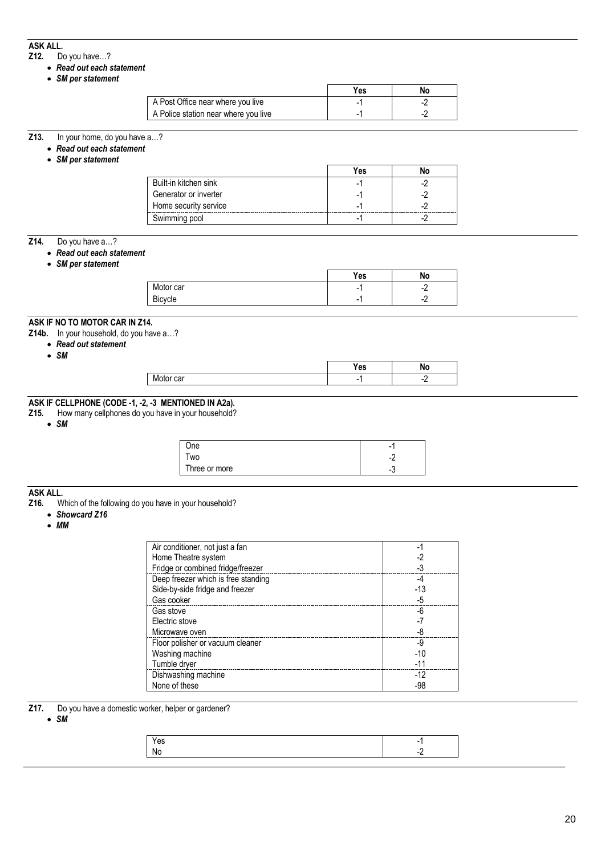## **ASK ALL.**

- **Z12.** Do you have…?
	- *Read out each statement* • *SM per statement*

|                                      | Yes. |    |
|--------------------------------------|------|----|
| A Post Office near where you live    |      | ٠, |
| A Police station near where you live |      |    |

## **Z13.** In your home, do you have a…?

- *Read out each statement*
- *SM per statement*

|                       | Yes | No |
|-----------------------|-----|----|
| Built-in kitchen sink |     |    |
| Generator or inverter |     |    |
| Home security service |     | n  |
| Swimming pool         |     |    |

## **Z14.** Do you have a…?

- *Read out each statement*
- *SM per statement*

|                | Yes | No |
|----------------|-----|----|
| Motor car      | -   |    |
| <b>Bicycle</b> | -   | -  |

#### **ASK IF NO TO MOTOR CAR IN Z14.**

**Z14b.** In your household, do you have a…?

- *Read out statement*
- *SM*

|   | -- |  |
|---|----|--|
| M |    |  |

### **ASK IF CELLPHONE (CODE -1, -2, -3 MENTIONED IN A2a).**

**Z15.** How many cellphones do you have in your household?

• *SM* 

| One           | $\overline{\phantom{0}}$ |
|---------------|--------------------------|
| <b>WO</b>     | -                        |
| Three or more | ÷ч.                      |

**ASK ALL.**

**Z16.** Which of the following do you have in your household?

- *Showcard Z16*
- *MM*

| Air conditioner, not just a fan     |       |
|-------------------------------------|-------|
| Home Theatre system                 |       |
| Fridge or combined fridge/freezer   | -3    |
| Deep freezer which is free standing | -4    |
| Side-by-side fridge and freezer     | $-13$ |
| Gas cooker                          | $-5$  |
| Gas stove                           | -6    |
| Electric stove                      | -7    |
| Microwave oven                      | -8    |
| Floor polisher or vacuum cleaner    | -9    |
| Washing machine                     | $-10$ |
| Tumble dryer                        | $-11$ |
| Dishwashing machine                 | $-12$ |
| None of these                       | -98   |

**Z17.** Do you have a domestic worker, helper or gardener?

• *SM*

| No |
|----|
|----|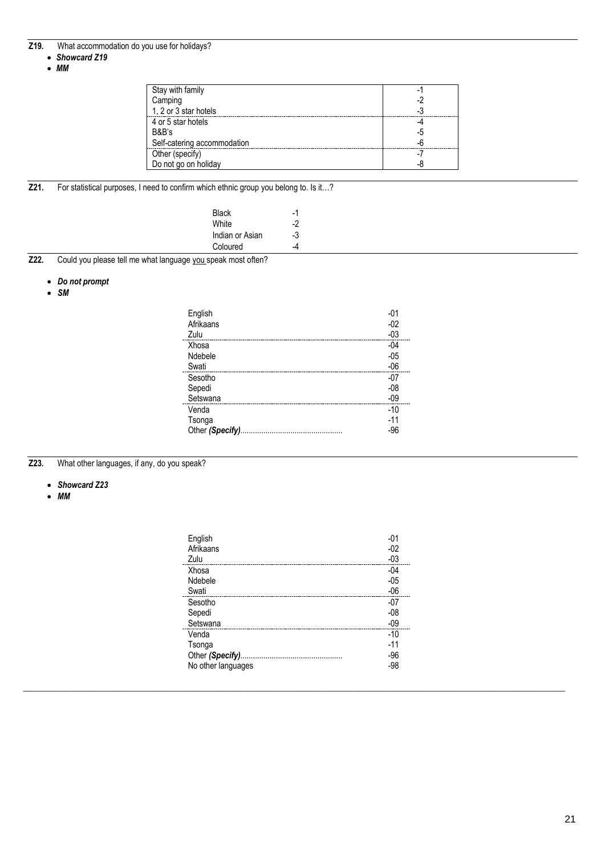## **Z19.** What accommodation do you use for holidays?

- *Showcard Z19*
- *MM*

| Stay with family            |    |
|-----------------------------|----|
| Camping                     | -2 |
| 1, 2 or 3 star hotels       | -3 |
| 4 or 5 star hotels          | -4 |
| B&B's                       | -5 |
| Self-catering accommodation | -6 |
| Other (specify)             | -7 |
| Do not go on holiday        | -8 |

**Z21.** For statistical purposes, I need to confirm which ethnic group you belong to. Is it…?

 $\ddot{\phantom{a}}$ 

| Black           | -1   |
|-----------------|------|
| White           | $-2$ |
| Indian or Asian | -3   |
| Coloured        |      |

**Z22.** Could you please tell me what language you speak most often?

#### • *Do not prompt*

• *SM*

| English          | $-01$ |
|------------------|-------|
| Afrikaans        | $-02$ |
| Zulu             | $-03$ |
| Xhosa            | $-04$ |
| Ndebele          | $-05$ |
| Swati            | $-06$ |
| Sesotho          | $-07$ |
| Sepedi           | $-08$ |
| Setswana         | $-09$ |
| Venda            | -10   |
| Tsonga           | $-11$ |
| Other (Specify). | $-96$ |
|                  |       |

**Z23.** What other languages, if any, do you speak?

- *Showcard Z23*
- *MM*

| English<br>Afrikaans<br>Zulu | -01<br>$-02$<br>$-03$ |
|------------------------------|-----------------------|
| Xhosa<br>Ndebele             | $-04$<br>$-05$        |
| Swati                        | $-06$                 |
| Sesotho                      | $-07$                 |
| Sepedi                       | $-08$                 |
| Setswana                     | $-09$                 |
| Venda                        | $-10$                 |
| Tsonga                       | $-11$                 |
| Other (Specify)              | $-96$                 |
| No other languages           | -98                   |
|                              |                       |

 $\_$  ,  $\_$  ,  $\_$  ,  $\_$  ,  $\_$  ,  $\_$  ,  $\_$  ,  $\_$  ,  $\_$  ,  $\_$  ,  $\_$  ,  $\_$  ,  $\_$  ,  $\_$  ,  $\_$  ,  $\_$  ,  $\_$  ,  $\_$  ,  $\_$  ,  $\_$  ,  $\_$  ,  $\_$  ,  $\_$  ,  $\_$  ,  $\_$  ,  $\_$  ,  $\_$  ,  $\_$  ,  $\_$  ,  $\_$  ,  $\_$  ,  $\_$  ,  $\_$  ,  $\_$  ,  $\_$  ,  $\_$  ,  $\_$  ,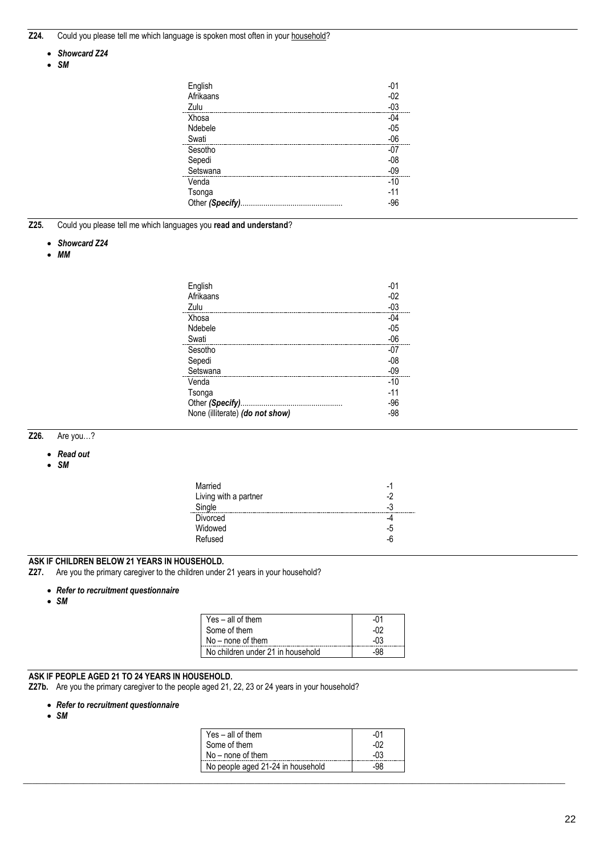## **Z24.** Could you please tell me which language is spoken most often in your household?

- *Showcard Z24*
- *SM*

| English         | $-01$ |
|-----------------|-------|
| Afrikaans       | $-02$ |
| Zulu            | $-03$ |
| Xhosa           | $-04$ |
| Ndebele         | $-05$ |
| Swati           | $-06$ |
| Sesotho         | $-07$ |
| Sepedi          | $-08$ |
| Setswana        | $-09$ |
| Venda           | $-10$ |
| Tsonga          | $-11$ |
| Other (Specify) | -96   |

**Z25.** Could you please tell me which languages you **read and understand**?

- *Showcard Z24*
- *MM*

| English<br>Afrikaans            | -01<br>$-02$ |
|---------------------------------|--------------|
| Zulu                            | $-03$        |
| Xhosa                           | $-04$        |
| Ndebele                         | $-05$        |
| Swati                           | $-06$        |
| Sesotho                         | $-07$        |
| Sepedi                          | $-08$        |
| Setswana                        | $-09$        |
| Venda                           | $-10$        |
| Tsonga                          | $-11$        |
| Other (Specify)                 | $-96$        |
| None (illiterate) (do not show) | -98          |

## **Z26.** Are you…?

- *Read out*
- *SM*

| Married               |    |
|-----------------------|----|
| Living with a partner |    |
| Single                | -3 |
| Divorced              |    |
| Widowed               | -5 |
| Refused               | -ĥ |
|                       |    |

## **ASK IF CHILDREN BELOW 21 YEARS IN HOUSEHOLD.**

**Z27.** Are you the primary caregiver to the children under 21 years in your household?

#### • *Refer to recruitment questionnaire*

• *SM*

| Yes - all of them                 | -01 |
|-----------------------------------|-----|
| Some of them                      | -02 |
| $No$ – none of them               | -03 |
| No children under 21 in household |     |

#### **ASK IF PEOPLE AGED 21 TO 24 YEARS IN HOUSEHOLD.**

**Z27b.** Are you the primary caregiver to the people aged 21, 22, 23 or 24 years in your household?

## • *Refer to recruitment questionnaire*

• *SM*

| Some of them<br>No – none of them<br>$-02$<br>-03<br>-------------------------- | $Yes - all of them$               | ∩٠<br>-v. |
|---------------------------------------------------------------------------------|-----------------------------------|-----------|
|                                                                                 |                                   |           |
|                                                                                 |                                   |           |
|                                                                                 | No people aged 21-24 in household | -98       |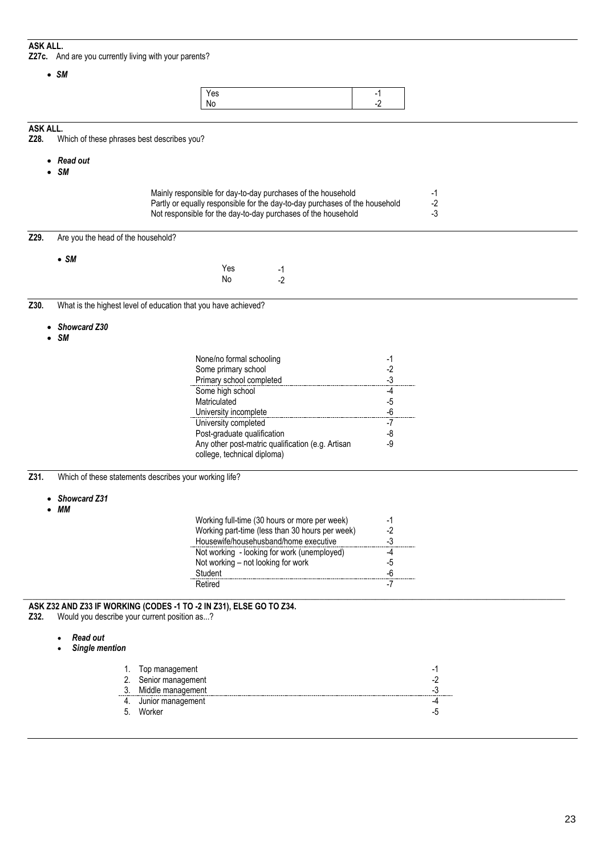#### **ASK ALL.**

**Z27c.** And are you currently living with your parents?

|                 | $\bullet$ SM                                 |                                                                                          |              |                         |  |
|-----------------|----------------------------------------------|------------------------------------------------------------------------------------------|--------------|-------------------------|--|
|                 |                                              | Yes                                                                                      | $-1$         |                         |  |
|                 |                                              | No                                                                                       | $-2$         |                         |  |
| <b>ASK ALL.</b> |                                              |                                                                                          |              |                         |  |
| Z28.            | Which of these phrases best describes you?   |                                                                                          |              |                         |  |
|                 | $\bullet$ Read out                           |                                                                                          |              |                         |  |
| $\bullet$       | SM                                           |                                                                                          |              |                         |  |
|                 |                                              | Mainly responsible for day-to-day purchases of the household                             |              | $-1$                    |  |
|                 |                                              | Partly or equally responsible for the day-to-day purchases of the household              |              | $-2$                    |  |
|                 |                                              | Not responsible for the day-to-day purchases of the household                            |              | $-3$                    |  |
| Z29.            | Are you the head of the household?           |                                                                                          |              |                         |  |
|                 | $\bullet$ SM                                 |                                                                                          |              |                         |  |
|                 |                                              | Yes<br>$-1$                                                                              |              |                         |  |
|                 |                                              | No<br>$-2$                                                                               |              |                         |  |
| Z30.            |                                              | What is the highest level of education that you have achieved?                           |              |                         |  |
| $\bullet$       | <b>Showcard Z30</b>                          |                                                                                          |              |                         |  |
| $\bullet$       | <b>SM</b>                                    |                                                                                          |              |                         |  |
|                 |                                              | None/no formal schooling                                                                 |              |                         |  |
|                 |                                              | Some primary school                                                                      | -1<br>$-2$   |                         |  |
|                 |                                              | Primary school completed                                                                 | $-3$         |                         |  |
|                 |                                              | Some high school<br>Matriculated                                                         | -4<br>$-5$   |                         |  |
|                 |                                              | University incomplete                                                                    | $-6\,$       |                         |  |
|                 |                                              | University completed                                                                     | $-7$         |                         |  |
|                 |                                              | Post-graduate qualification                                                              | -8           |                         |  |
|                 |                                              | Any other post-matric qualification (e.g. Artisan                                        | -9           |                         |  |
|                 |                                              |                                                                                          |              |                         |  |
|                 |                                              | college, technical diploma)                                                              |              |                         |  |
|                 |                                              | Which of these statements describes your working life?                                   |              |                         |  |
|                 | <b>Showcard Z31</b>                          |                                                                                          |              |                         |  |
|                 | $\bullet$ MM                                 |                                                                                          |              |                         |  |
|                 |                                              | Working full-time (30 hours or more per week)                                            | -1           |                         |  |
|                 |                                              | Working part-time (less than 30 hours per week)<br>Housewife/househusband/home executive | $-2$         |                         |  |
|                 |                                              | Not working - looking for work (unemployed)                                              | $-3$<br>$-4$ |                         |  |
|                 |                                              | Not working - not looking for work                                                       | $-5$         |                         |  |
|                 |                                              | Student                                                                                  | $-6\,$       |                         |  |
|                 |                                              | Retired                                                                                  | -7           |                         |  |
|                 |                                              | ASK Z32 AND Z33 IF WORKING (CODES -1 TO -2 IN Z31), ELSE GO TO Z34.                      |              |                         |  |
|                 | Would you describe your current position as? |                                                                                          |              |                         |  |
|                 | Read out<br><b>Single mention</b>            |                                                                                          |              |                         |  |
|                 |                                              | 1. Top management                                                                        |              | $-1$                    |  |
| Z31.<br>Z32.    |                                              | 2. Senior management                                                                     |              | $-2$                    |  |
|                 |                                              | 3. Middle management                                                                     |              |                         |  |
|                 | 5.                                           | 4. Junior management<br>Worker                                                           |              | $\frac{-3}{-4}$<br>$-5$ |  |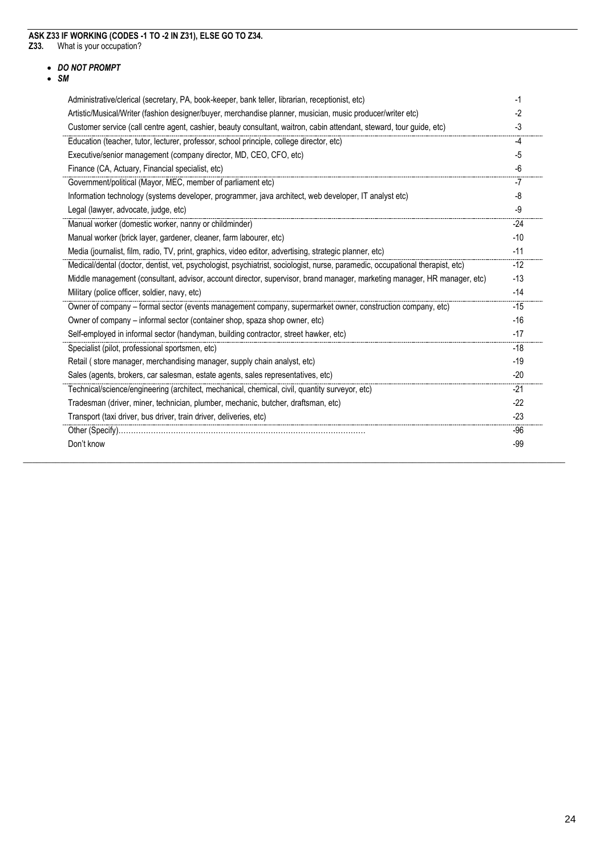**ASK Z33 IF WORKING (CODES -1 TO -2 IN Z31), ELSE GO TO Z34.**

**Z33.** What is your occupation?

## • *DO NOT PROMPT*

## • *SM*

| Administrative/clerical (secretary, PA, book-keeper, bank teller, librarian, receptionist, etc)                               | $-1$  |
|-------------------------------------------------------------------------------------------------------------------------------|-------|
| Artistic/Musical/Writer (fashion designer/buyer, merchandise planner, musician, music producer/writer etc)                    | $-2$  |
| Customer service (call centre agent, cashier, beauty consultant, waitron, cabin attendant, steward, tour guide, etc)          | $-3$  |
| Education (teacher, tutor, lecturer, professor, school principle, college director, etc)                                      | -4    |
| Executive/senior management (company director, MD, CEO, CFO, etc)                                                             | -5    |
| Finance (CA, Actuary, Financial specialist, etc)                                                                              | -6    |
| Government/political (Mayor, MEC, member of parliament etc)                                                                   | -7    |
| Information technology (systems developer, programmer, java architect, web developer, IT analyst etc)                         | -8    |
| Legal (lawyer, advocate, judge, etc)                                                                                          | -9    |
| Manual worker (domestic worker, nanny or childminder)                                                                         | $-24$ |
| Manual worker (brick layer, gardener, cleaner, farm labourer, etc)                                                            | $-10$ |
| Media (journalist, film, radio, TV, print, graphics, video editor, advertising, strategic planner, etc)                       | $-11$ |
| Medical/dental (doctor, dentist, vet, psychologist, psychiatrist, sociologist, nurse, paramedic, occupational therapist, etc) | $-12$ |
| Middle management (consultant, advisor, account director, supervisor, brand manager, marketing manager, HR manager, etc)      | $-13$ |
| Military (police officer, soldier, navy, etc)                                                                                 | $-14$ |
| Owner of company - formal sector (events management company, supermarket owner, construction company, etc)                    | -15   |
| Owner of company – informal sector (container shop, spaza shop owner, etc)                                                    | $-16$ |
| Self-employed in informal sector (handyman, building contractor, street hawker, etc)                                          | $-17$ |
| Specialist (pilot, professional sportsmen, etc)                                                                               | $-18$ |
| Retail (store manager, merchandising manager, supply chain analyst, etc)                                                      | $-19$ |
| Sales (agents, brokers, car salesman, estate agents, sales representatives, etc)                                              | $-20$ |
| Technical/science/engineering (architect, mechanical, chemical, civil, quantity surveyor, etc)                                | $-21$ |
| Tradesman (driver, miner, technician, plumber, mechanic, butcher, draftsman, etc)                                             | $-22$ |
| Transport (taxi driver, bus driver, train driver, deliveries, etc)                                                            | $-23$ |
| Other (Specify)                                                                                                               | -96   |
| Don't know                                                                                                                    | $-99$ |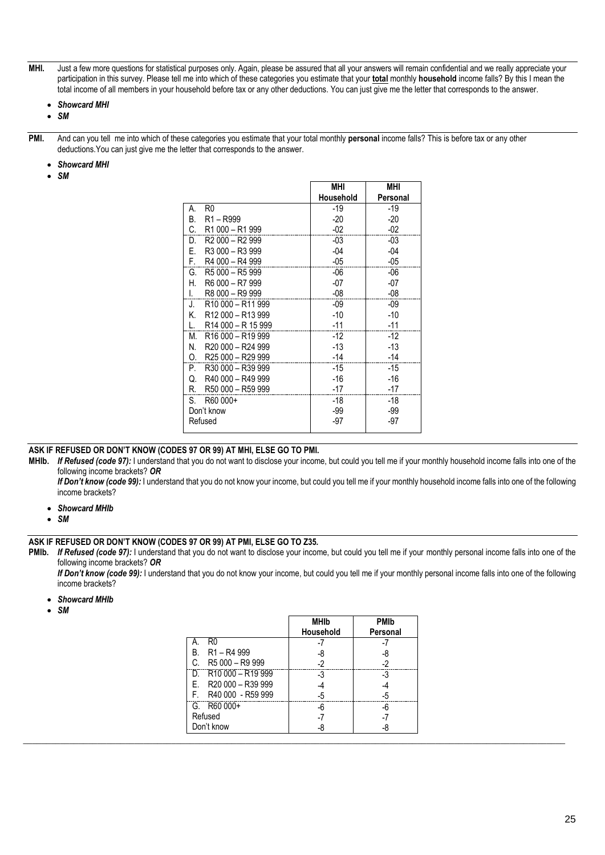- **MHI.** Just a few more questions for statistical purposes only. Again, please be assured that all your answers will remain confidential and we really appreciate your participation in this survey. Please tell me into which of these categories you estimate that your **total** monthly **household** income falls? By this I mean the total income of all members in your household before tax or any other deductions. You can just give me the letter that corresponds to the answer.
	- *Showcard MHI*
	- *SM*
- **PMI.** And can you tell me into which of these categories you estimate that your total monthly **personal** income falls? This is before tax or any other deductions.You can just give me the letter that corresponds to the answer.
	- *Showcard MHI*
	- *SM*

|                                                 | MHI       | MHI      |
|-------------------------------------------------|-----------|----------|
|                                                 | Household | Personal |
| R <sub>0</sub><br>А.                            | $-19$     | $-19$    |
| В.<br>R <sub>1</sub> – R <sub>999</sub>         | -20       | $-20$    |
| C.<br>R1 000 - R1 999                           | $-02$     | $-02$    |
| R <sub>2</sub> 000 - R <sub>2</sub> 999<br>D.   | -03       | $-03$    |
| Е.<br>R3 000 - R3 999                           | -04       | $-04$    |
| F.<br>R4 000 - R4 999                           | $-05$     | $-05$    |
| G.<br>R5 000 - R5 999                           | -06       | $-06$    |
| Н.<br>R6 000 - R7 999                           | $-07$     | $-07$    |
| I.<br>R8 000 - R9 999                           | -08       | $-08$    |
| R <sub>10</sub> 000 - R <sub>11</sub> 999<br>J. | -09       | -09      |
| R <sub>12</sub> 000 - R <sub>13</sub> 999<br>Κ. | $-10$     | $-10$    |
| R <sub>14</sub> 000 - R <sub>15</sub> 999<br>L. | $-11$     | $-11$    |
| М.<br>R <sub>16</sub> 000 - R <sub>19</sub> 999 | $-12$     | $-12$    |
| N.<br>R <sub>20</sub> 000 - R <sub>24</sub> 999 | $-13$     | $-13$    |
| 0.<br>R <sub>25</sub> 000 - R <sub>29</sub> 999 | $-14$     | $-14$    |
| Р.<br>R30 000 - R39 999                         | $-15$     | $-15$    |
| R40 000 - R49 999<br>Q.                         | -16       | -16      |
| R. R50 000 - R59 999                            | $-17$     | $-17$    |
| R60 000+<br>S.                                  | -18       | -18      |
| Don't know                                      | -99       | -99      |
| Refused                                         | -97       | $-97$    |
|                                                 |           |          |

## **ASK IF REFUSED OR DON'T KNOW (CODES 97 OR 99) AT MHI, ELSE GO TO PMI.**

**MHIb.** *If Refused (code 97):* I understand that you do not want to disclose your income, but could you tell me if your monthly household income falls into one of the following income brackets? *OR*

*If Don't know (code 99):* I understand that you do not know your income, but could you tell me if your monthly household income falls into one of the following income brackets?

- *Showcard MHIb*
- *SM*

#### **ASK IF REFUSED OR DON'T KNOW (CODES 97 OR 99) AT PMI, ELSE GO TO Z35***.*

PMIb. If Refused (code 97): I understand that you do not want to disclose your income, but could you tell me if your monthly personal income falls into one of the following income brackets? *OR*

*If Don't know (code 99):* I understand that you do not know your income, but could you tell me if your monthly personal income falls into one of the following income brackets?

- *Showcard MHIb*
- *SM*

|                      | MHIb<br>Household | <b>PMIb</b><br>Personal |
|----------------------|-------------------|-------------------------|
| A. R0                |                   |                         |
| B. R1-R4 999         |                   | -8                      |
| C. $R5000 - R9999$   |                   |                         |
| D. $R10000 - R19999$ |                   |                         |
| E. R20 000 - R39 999 |                   |                         |
| F. R40 000 - R59 999 |                   |                         |
| $G.$ R60 000+        |                   |                         |
| Refused              |                   |                         |
| Don't know           |                   |                         |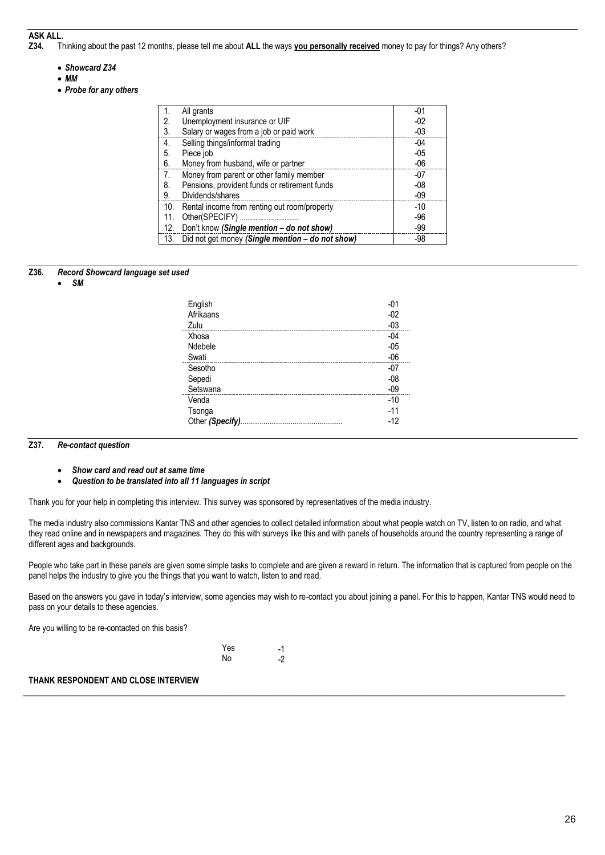# **ASK ALL.**<br>**Z34.**

**Z34.** Thinking about the past 12 months, please tell me about **ALL** the ways **you personally received** money to pay for things? Any others?

#### • *Showcard Z34*

- *MM*
- *Probe for any others*

| 1.  | All grants                                       | $-01$ |
|-----|--------------------------------------------------|-------|
| 2.  | Unemployment insurance or UIF                    | $-02$ |
| 3.  | Salary or wages from a job or paid work          | $-03$ |
| 4.  | Selling things/informal trading                  | $-04$ |
| 5.  | Piece job                                        | $-05$ |
| 6.  | Money from husband, wife or partner              | $-06$ |
| 7.  | Money from parent or other family member         | $-07$ |
| 8.  | Pensions, provident funds or retirement funds    | $-08$ |
| 9.  | Dividends/shares                                 | $-09$ |
| 10. | Rental income from renting out room/property     | $-10$ |
| 11. |                                                  | $-96$ |
| 12. | Don't know (Single mention - do not show)        | -99   |
| 13. | Did not get money (Single mention - do not show) | -98   |

### **Z36.** *Record Showcard language set used*

#### • *SM*

| English<br>Afrikaans | $-01$<br>$-02$ |
|----------------------|----------------|
| Zulu                 | $-03$          |
| Xhosa                | $-04$          |
| Ndebele              | $-05$          |
| Swati                | $-06$          |
| Sesotho              | $-07$          |
| Sepedi               | $-08$          |
| Setswana             | $-09$          |
| Venda                | $-10$          |
| Tsonga               | $-11$          |
| Other (Specify).     | $-12$          |

#### **Z37.** *Re-contact question*

- *Show card and read out at same time*
- *Question to be translated into all 11 languages in script*

Thank you for your help in completing this interview. This survey was sponsored by representatives of the media industry.

The media industry also commissions Kantar TNS and other agencies to collect detailed information about what people watch on TV, listen to on radio, and what they read online and in newspapers and magazines. They do this with surveys like this and with panels of households around the country representing a range of different ages and backgrounds.

People who take part in these panels are given some simple tasks to complete and are given a reward in return. The information that is captured from people on the panel helps the industry to give you the things that you want to watch, listen to and read.

Based on the answers you gave in today's interview, some agencies may wish to re-contact you about joining a panel. For this to happen, Kantar TNS would need to pass on your details to these agencies.

Are you willing to be re-contacted on this basis?

| Yes | $-1$ |
|-----|------|
| No  | $-2$ |

#### **THANK RESPONDENT AND CLOSE INTERVIEW**  $\_$  ,  $\_$  ,  $\_$  ,  $\_$  ,  $\_$  ,  $\_$  ,  $\_$  ,  $\_$  ,  $\_$  ,  $\_$  ,  $\_$  ,  $\_$  ,  $\_$  ,  $\_$  ,  $\_$  ,  $\_$  ,  $\_$  ,  $\_$  ,  $\_$  ,  $\_$  ,  $\_$  ,  $\_$  ,  $\_$  ,  $\_$  ,  $\_$  ,  $\_$  ,  $\_$  ,  $\_$  ,  $\_$  ,  $\_$  ,  $\_$  ,  $\_$  ,  $\_$  ,  $\_$  ,  $\_$  ,  $\_$  ,  $\_$  ,